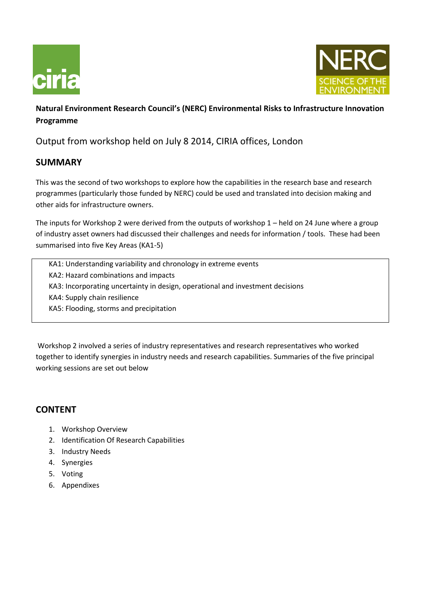



# **Natural Environment Research Council's (NERC) Environmental Risks to Infrastructure Innovation Programme**

Output from workshop held on July 8 2014, CIRIA offices, London

# **SUMMARY**

This was the second of two workshops to explore how the capabilities in the research base and research programmes (particularly those funded by NERC) could be used and translated into decision making and other aids for infrastructure owners.

The inputs for Workshop 2 were derived from the outputs of workshop 1 – held on 24 June where a group of industry asset owners had discussed their challenges and needs for information / tools. These had been summarised into five Key Areas (KA1-5)

KA1: Understanding variability and chronology in extreme events KA2: Hazard combinations and impacts KA3: Incorporating uncertainty in design, operational and investment decisions KA4: Supply chain resilience KA5: Flooding, storms and precipitation

Workshop 2 involved a series of industry representatives and research representatives who worked together to identify synergies in industry needs and research capabilities. Summaries of the five principal working sessions are set out below

# **CONTENT**

- 1. Workshop Overview
- 2. Identification Of Research Capabilities
- 3. Industry Needs
- 4. Synergies
- 5. Voting
- 6. Appendixes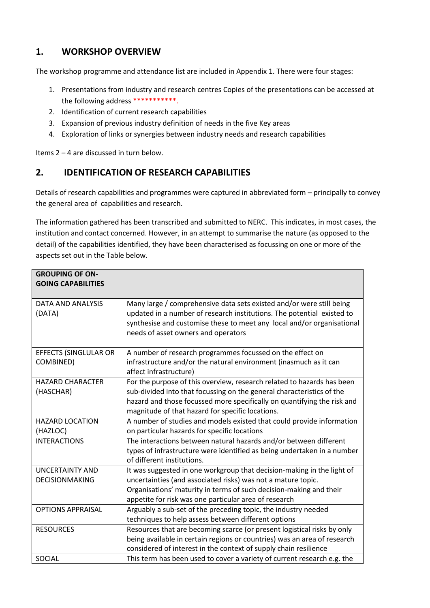# **1. WORKSHOP OVERVIEW**

The workshop programme and attendance list are included in Appendix 1. There were four stages:

- 1. Presentations from industry and research centres Copies of the presentations can be accessed at the following address \*\*\*\*\*\*\*\*\*\*\*.
- 2. Identification of current research capabilities
- 3. Expansion of previous industry definition of needs in the five Key areas
- 4. Exploration of links or synergies between industry needs and research capabilities

Items 2 – 4 are discussed in turn below.

# **2. IDENTIFICATION OF RESEARCH CAPABILITIES**

Details of research capabilities and programmes were captured in abbreviated form – principally to convey the general area of capabilities and research.

The information gathered has been transcribed and submitted to NERC. This indicates, in most cases, the institution and contact concerned. However, in an attempt to summarise the nature (as opposed to the detail) of the capabilities identified, they have been characterised as focussing on one or more of the aspects set out in the Table below.

| <b>GROUPING OF ON-</b><br><b>GOING CAPABILITIES</b> |                                                                                                                                                |
|-----------------------------------------------------|------------------------------------------------------------------------------------------------------------------------------------------------|
| DATA AND ANALYSIS<br>(DATA)                         | Many large / comprehensive data sets existed and/or were still being<br>updated in a number of research institutions. The potential existed to |
|                                                     | synthesise and customise these to meet any local and/or organisational                                                                         |
|                                                     | needs of asset owners and operators                                                                                                            |
| <b>EFFECTS (SINGLULAR OR</b>                        | A number of research programmes focussed on the effect on                                                                                      |
| COMBINED)                                           | infrastructure and/or the natural environment (inasmuch as it can<br>affect infrastructure)                                                    |
| <b>HAZARD CHARACTER</b>                             | For the purpose of this overview, research related to hazards has been                                                                         |
| (HASCHAR)                                           | sub-divided into that focussing on the general characteristics of the                                                                          |
|                                                     | hazard and those focussed more specifically on quantifying the risk and<br>magnitude of that hazard for specific locations.                    |
| <b>HAZARD LOCATION</b>                              | A number of studies and models existed that could provide information                                                                          |
| (HAZLOC)                                            | on particular hazards for specific locations                                                                                                   |
| <b>INTERACTIONS</b>                                 | The interactions between natural hazards and/or between different                                                                              |
|                                                     | types of infrastructure were identified as being undertaken in a number                                                                        |
|                                                     | of different institutions.                                                                                                                     |
| <b>UNCERTAINTY AND</b>                              | It was suggested in one workgroup that decision-making in the light of                                                                         |
| <b>DECISIONMAKING</b>                               | uncertainties (and associated risks) was not a mature topic.                                                                                   |
|                                                     | Organisations' maturity in terms of such decision-making and their                                                                             |
|                                                     | appetite for risk was one particular area of research                                                                                          |
| <b>OPTIONS APPRAISAL</b>                            | Arguably a sub-set of the preceding topic, the industry needed                                                                                 |
|                                                     | techniques to help assess between different options                                                                                            |
| <b>RESOURCES</b>                                    | Resources that are becoming scarce (or present logistical risks by only                                                                        |
|                                                     | being available in certain regions or countries) was an area of research                                                                       |
|                                                     | considered of interest in the context of supply chain resilience                                                                               |
| SOCIAL                                              | This term has been used to cover a variety of current research e.g. the                                                                        |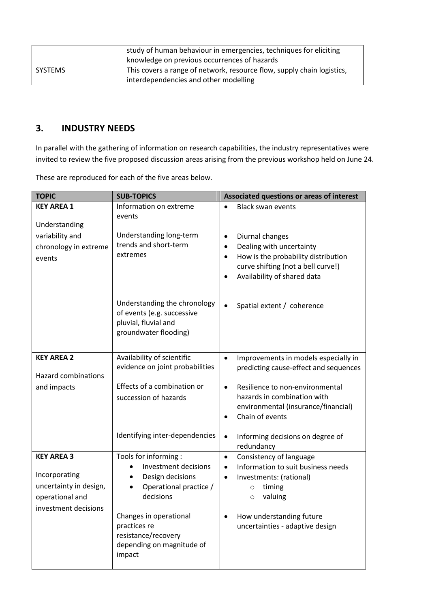|         | study of human behaviour in emergencies, techniques for eliciting      |
|---------|------------------------------------------------------------------------|
|         | knowledge on previous occurrences of hazards                           |
| SYSTEMS | This covers a range of network, resource flow, supply chain logistics, |
|         | interdependencies and other modelling                                  |

# **3. INDUSTRY NEEDS**

In parallel with the gathering of information on research capabilities, the industry representatives were invited to review the five proposed discussion areas arising from the previous workshop held on June 24.

These are reproduced for each of the five areas below.

| <b>TOPIC</b>               | <b>SUB-TOPICS</b>                   | Associated questions or areas of interest                           |
|----------------------------|-------------------------------------|---------------------------------------------------------------------|
| <b>KEY AREA 1</b>          | Information on extreme              | <b>Black swan events</b><br>$\bullet$                               |
|                            | events                              |                                                                     |
| Understanding              |                                     |                                                                     |
| variability and            | Understanding long-term             | Diurnal changes<br>$\bullet$                                        |
| chronology in extreme      | trends and short-term               | Dealing with uncertainty<br>$\bullet$                               |
| events                     | extremes                            | How is the probability distribution<br>$\bullet$                    |
|                            |                                     | curve shifting (not a bell curve!)                                  |
|                            |                                     | Availability of shared data<br>$\bullet$                            |
|                            | Understanding the chronology        |                                                                     |
|                            | of events (e.g. successive          | $\bullet$<br>Spatial extent / coherence                             |
|                            | pluvial, fluvial and                |                                                                     |
|                            | groundwater flooding)               |                                                                     |
|                            |                                     |                                                                     |
| <b>KEY AREA 2</b>          | Availability of scientific          | Improvements in models especially in<br>$\bullet$                   |
|                            | evidence on joint probabilities     | predicting cause-effect and sequences                               |
| <b>Hazard combinations</b> |                                     |                                                                     |
| and impacts                | Effects of a combination or         | Resilience to non-environmental<br>$\bullet$                        |
|                            | succession of hazards               | hazards in combination with                                         |
|                            |                                     | environmental (insurance/financial)<br>Chain of events<br>$\bullet$ |
|                            |                                     |                                                                     |
|                            | Identifying inter-dependencies      | $\bullet$<br>Informing decisions on degree of                       |
|                            |                                     | redundancy                                                          |
| <b>KEY AREA 3</b>          | Tools for informing :               | Consistency of language<br>$\bullet$                                |
|                            | Investment decisions                | Information to suit business needs<br>$\bullet$                     |
| Incorporating              | Design decisions<br>$\bullet$       | Investments: (rational)<br>$\bullet$                                |
| uncertainty in design,     | Operational practice /<br>$\bullet$ | timing<br>$\circ$                                                   |
| operational and            | decisions                           | valuing<br>$\circ$                                                  |
| investment decisions       | Changes in operational              | How understanding future<br>$\bullet$                               |
|                            | practices re                        | uncertainties - adaptive design                                     |
|                            | resistance/recovery                 |                                                                     |
|                            | depending on magnitude of           |                                                                     |
|                            | impact                              |                                                                     |
|                            |                                     |                                                                     |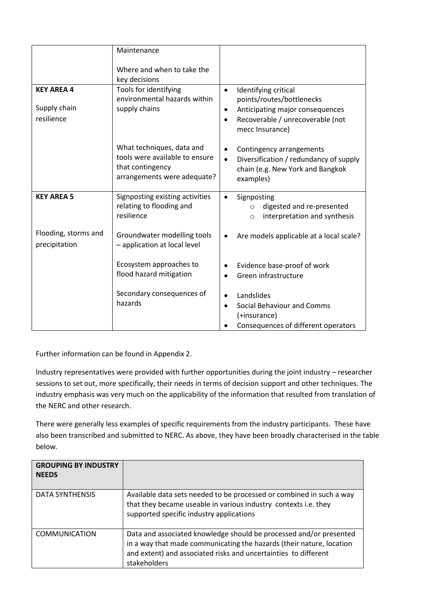|                                                 | Maintenance                                                                                                    |                                                                                                                                                                                    |  |
|-------------------------------------------------|----------------------------------------------------------------------------------------------------------------|------------------------------------------------------------------------------------------------------------------------------------------------------------------------------------|--|
|                                                 | Where and when to take the<br>key decisions                                                                    |                                                                                                                                                                                    |  |
| <b>KEY AREA 4</b><br>Supply chain<br>resilience | Tools for identifying<br>environmental hazards within<br>supply chains                                         | Identifying critical<br>$\bullet$<br>points/routes/bottlenecks<br>Anticipating major consequences<br>$\bullet$<br>Recoverable / unrecoverable (not<br>$\bullet$<br>mecc Insurance) |  |
|                                                 | What techniques, data and<br>tools were available to ensure<br>that contingency<br>arrangements were adequate? | Contingency arrangements<br>$\bullet$<br>Diversification / redundancy of supply<br>$\bullet$<br>chain (e.g. New York and Bangkok<br>examples)                                      |  |
| <b>KEY AREA 5</b>                               | Signposting existing activities<br>relating to flooding and<br>resilience                                      | Signposting<br>$\bullet$<br>digested and re-presented<br>$\circ$<br>interpretation and synthesis<br>$\circ$                                                                        |  |
| Flooding, storms and<br>precipitation           | Groundwater modelling tools<br>- application at local level                                                    | Are models applicable at a local scale?                                                                                                                                            |  |
|                                                 | Ecosystem approaches to<br>flood hazard mitigation                                                             | Evidence base-proof of work<br>Green infrastructure                                                                                                                                |  |
|                                                 | Secondary consequences of<br>hazards                                                                           | Landslides<br>$\bullet$<br>Social Behaviour and Comms<br>(+insurance)<br>Consequences of different operators                                                                       |  |

Further information can be found in Appendix 2.

Industry representatives were provided with further opportunities during the joint industry – researcher sessions to set out, more specifically, their needs in terms of decision support and other techniques. The industry emphasis was very much on the applicability of the information that resulted from translation of the NERC and other research.

There were generally less examples of specific requirements from the industry participants. These have also been transcribed and submitted to NERC. As above, they have been broadly characterised in the table below.

| <b>GROUPING BY INDUSTRY</b><br><b>NEEDS</b> |                                                                                                                                                                                                                               |
|---------------------------------------------|-------------------------------------------------------------------------------------------------------------------------------------------------------------------------------------------------------------------------------|
| DATA SYNTHENSIS                             | Available data sets needed to be processed or combined in such a way<br>that they became useable in various industry contexts i.e. they<br>supported specific industry applications                                           |
| COMMUNICATION                               | Data and associated knowledge should be processed and/or presented<br>in a way that made communicating the hazards (their nature, location<br>and extent) and associated risks and uncertainties to different<br>stakeholders |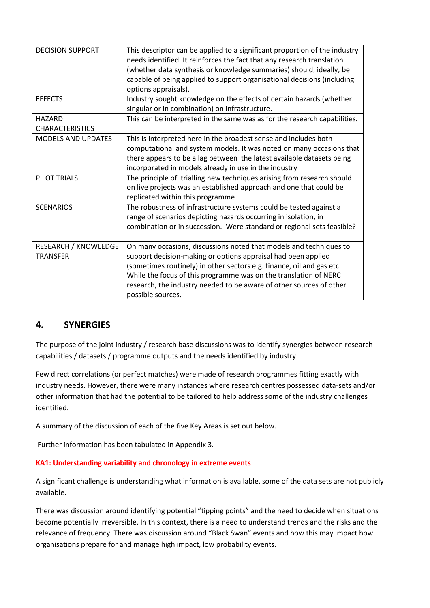| <b>DECISION SUPPORT</b>     | This descriptor can be applied to a significant proportion of the industry<br>needs identified. It reinforces the fact that any research translation |
|-----------------------------|------------------------------------------------------------------------------------------------------------------------------------------------------|
|                             |                                                                                                                                                      |
|                             | (whether data synthesis or knowledge summaries) should, ideally, be                                                                                  |
|                             | capable of being applied to support organisational decisions (including                                                                              |
|                             | options appraisals).                                                                                                                                 |
| <b>EFFECTS</b>              | Industry sought knowledge on the effects of certain hazards (whether                                                                                 |
|                             | singular or in combination) on infrastructure.                                                                                                       |
| <b>HAZARD</b>               | This can be interpreted in the same was as for the research capabilities.                                                                            |
| <b>CHARACTERISTICS</b>      |                                                                                                                                                      |
| <b>MODELS AND UPDATES</b>   | This is interpreted here in the broadest sense and includes both                                                                                     |
|                             | computational and system models. It was noted on many occasions that                                                                                 |
|                             | there appears to be a lag between the latest available datasets being                                                                                |
|                             | incorporated in models already in use in the industry                                                                                                |
| PILOT TRIALS                | The principle of trialling new techniques arising from research should                                                                               |
|                             | on live projects was an established approach and one that could be                                                                                   |
|                             | replicated within this programme                                                                                                                     |
| <b>SCENARIOS</b>            | The robustness of infrastructure systems could be tested against a                                                                                   |
|                             | range of scenarios depicting hazards occurring in isolation, in                                                                                      |
|                             | combination or in succession. Were standard or regional sets feasible?                                                                               |
|                             |                                                                                                                                                      |
| <b>RESEARCH / KNOWLEDGE</b> | On many occasions, discussions noted that models and techniques to                                                                                   |
| <b>TRANSFER</b>             | support decision-making or options appraisal had been applied                                                                                        |
|                             | (sometimes routinely) in other sectors e.g. finance, oil and gas etc.                                                                                |
|                             | While the focus of this programme was on the translation of NERC                                                                                     |
|                             | research, the industry needed to be aware of other sources of other                                                                                  |
|                             | possible sources.                                                                                                                                    |
|                             |                                                                                                                                                      |

# **4. SYNERGIES**

The purpose of the joint industry / research base discussions was to identify synergies between research capabilities / datasets / programme outputs and the needs identified by industry

Few direct correlations (or perfect matches) were made of research programmes fitting exactly with industry needs. However, there were many instances where research centres possessed data-sets and/or other information that had the potential to be tailored to help address some of the industry challenges identified.

A summary of the discussion of each of the five Key Areas is set out below.

Further information has been tabulated in Appendix 3.

### **KA1: Understanding variability and chronology in extreme events**

A significant challenge is understanding what information is available, some of the data sets are not publicly available.

There was discussion around identifying potential "tipping points" and the need to decide when situations become potentially irreversible. In this context, there is a need to understand trends and the risks and the relevance of frequency. There was discussion around "Black Swan" events and how this may impact how organisations prepare for and manage high impact, low probability events.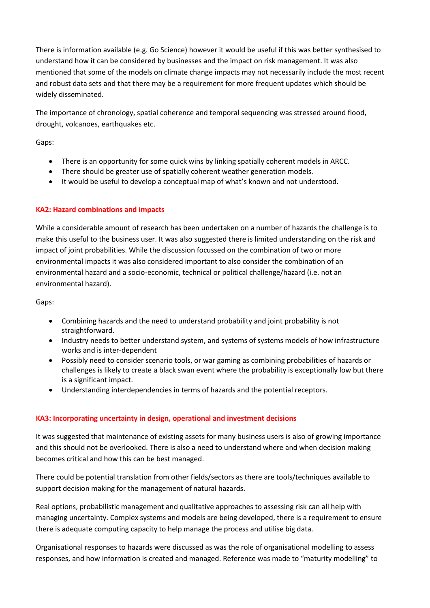There is information available (e.g. Go Science) however it would be useful if this was better synthesised to understand how it can be considered by businesses and the impact on risk management. It was also mentioned that some of the models on climate change impacts may not necessarily include the most recent and robust data sets and that there may be a requirement for more frequent updates which should be widely disseminated.

The importance of chronology, spatial coherence and temporal sequencing was stressed around flood, drought, volcanoes, earthquakes etc.

Gaps:

- There is an opportunity for some quick wins by linking spatially coherent models in ARCC.
- There should be greater use of spatially coherent weather generation models.
- It would be useful to develop a conceptual map of what's known and not understood.

### **KA2: Hazard combinations and impacts**

While a considerable amount of research has been undertaken on a number of hazards the challenge is to make this useful to the business user. It was also suggested there is limited understanding on the risk and impact of joint probabilities. While the discussion focussed on the combination of two or more environmental impacts it was also considered important to also consider the combination of an environmental hazard and a socio-economic, technical or political challenge/hazard (i.e. not an environmental hazard).

Gaps:

- Combining hazards and the need to understand probability and joint probability is not straightforward.
- Industry needs to better understand system, and systems of systems models of how infrastructure works and is inter-dependent
- Possibly need to consider scenario tools, or war gaming as combining probabilities of hazards or challenges is likely to create a black swan event where the probability is exceptionally low but there is a significant impact.
- Understanding interdependencies in terms of hazards and the potential receptors.

### **KA3: Incorporating uncertainty in design, operational and investment decisions**

It was suggested that maintenance of existing assets for many business users is also of growing importance and this should not be overlooked. There is also a need to understand where and when decision making becomes critical and how this can be best managed.

There could be potential translation from other fields/sectors as there are tools/techniques available to support decision making for the management of natural hazards.

Real options, probabilistic management and qualitative approaches to assessing risk can all help with managing uncertainty. Complex systems and models are being developed, there is a requirement to ensure there is adequate computing capacity to help manage the process and utilise big data.

Organisational responses to hazards were discussed as was the role of organisational modelling to assess responses, and how information is created and managed. Reference was made to "maturity modelling" to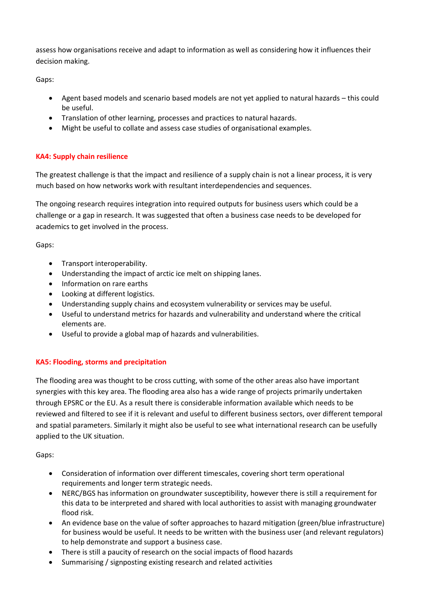assess how organisations receive and adapt to information as well as considering how it influences their decision making.

Gaps:

- Agent based models and scenario based models are not yet applied to natural hazards this could be useful.
- Translation of other learning, processes and practices to natural hazards.
- Might be useful to collate and assess case studies of organisational examples.

## **KA4: Supply chain resilience**

The greatest challenge is that the impact and resilience of a supply chain is not a linear process, it is very much based on how networks work with resultant interdependencies and sequences.

The ongoing research requires integration into required outputs for business users which could be a challenge or a gap in research. It was suggested that often a business case needs to be developed for academics to get involved in the process.

Gaps:

- **•** Transport interoperability.
- Understanding the impact of arctic ice melt on shipping lanes.
- Information on rare earths
- Looking at different logistics.
- Understanding supply chains and ecosystem vulnerability or services may be useful.
- Useful to understand metrics for hazards and vulnerability and understand where the critical elements are.
- Useful to provide a global map of hazards and vulnerabilities.

## **KA5: Flooding, storms and precipitation**

The flooding area was thought to be cross cutting, with some of the other areas also have important synergies with this key area. The flooding area also has a wide range of projects primarily undertaken through EPSRC or the EU. As a result there is considerable information available which needs to be reviewed and filtered to see if it is relevant and useful to different business sectors, over different temporal and spatial parameters. Similarly it might also be useful to see what international research can be usefully applied to the UK situation.

Gaps:

- Consideration of information over different timescales, covering short term operational requirements and longer term strategic needs.
- NERC/BGS has information on groundwater susceptibility, however there is still a requirement for this data to be interpreted and shared with local authorities to assist with managing groundwater flood risk.
- An evidence base on the value of softer approaches to hazard mitigation (green/blue infrastructure) for business would be useful. It needs to be written with the business user (and relevant regulators) to help demonstrate and support a business case.
- There is still a paucity of research on the social impacts of flood hazards
- Summarising / signposting existing research and related activities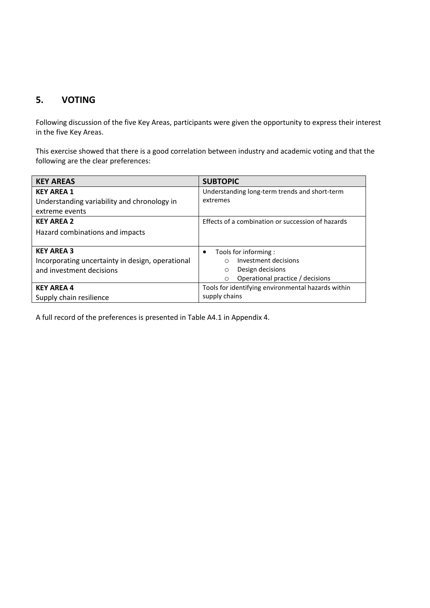# **5. VOTING**

Following discussion of the five Key Areas, participants were given the opportunity to express their interest in the five Key Areas.

This exercise showed that there is a good correlation between industry and academic voting and that the following are the clear preferences:

| <b>KEY AREAS</b>                                 | <b>SUBTOPIC</b>                                    |
|--------------------------------------------------|----------------------------------------------------|
| <b>KEY AREA 1</b>                                | Understanding long-term trends and short-term      |
| Understanding variability and chronology in      | extremes                                           |
| extreme events                                   |                                                    |
| <b>KEY AREA 2</b>                                | Effects of a combination or succession of hazards  |
| Hazard combinations and impacts                  |                                                    |
|                                                  |                                                    |
| <b>KEY AREA 3</b>                                | Tools for informing:<br>$\bullet$                  |
| Incorporating uncertainty in design, operational | Investment decisions<br>O                          |
| and investment decisions                         | Design decisions<br>$\circ$                        |
|                                                  | Operational practice / decisions<br>$\circ$        |
| <b>KEY AREA 4</b>                                | Tools for identifying environmental hazards within |
| Supply chain resilience                          | supply chains                                      |

A full record of the preferences is presented in Table A4.1 in Appendix 4.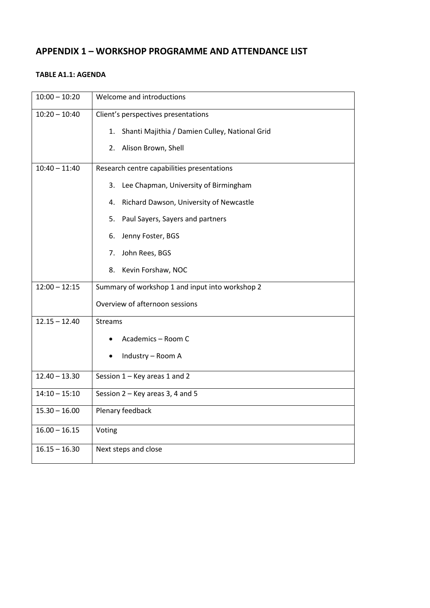# **APPENDIX 1 – WORKSHOP PROGRAMME AND ATTENDANCE LIST**

#### **TABLE A1.1: AGENDA**

| $10:00 - 10:20$ | Welcome and introductions                            |
|-----------------|------------------------------------------------------|
| $10:20 - 10:40$ | Client's perspectives presentations                  |
|                 | Shanti Majithia / Damien Culley, National Grid<br>1. |
|                 | Alison Brown, Shell<br>2.                            |
| $10:40 - 11:40$ | Research centre capabilities presentations           |
|                 | Lee Chapman, University of Birmingham<br>3.          |
|                 | Richard Dawson, University of Newcastle<br>4.        |
|                 | Paul Sayers, Sayers and partners<br>5.               |
|                 | Jenny Foster, BGS<br>6.                              |
|                 | John Rees, BGS<br>7.                                 |
|                 | Kevin Forshaw, NOC<br>8.                             |
| $12:00 - 12:15$ | Summary of workshop 1 and input into workshop 2      |
|                 | Overview of afternoon sessions                       |
| $12.15 - 12.40$ | <b>Streams</b>                                       |
|                 | Academics - Room C                                   |
|                 | Industry - Room A                                    |
| $12.40 - 13.30$ | Session 1 - Key areas 1 and 2                        |
| $14:10 - 15:10$ | Session 2 - Key areas 3, 4 and 5                     |
| $15.30 - 16.00$ | Plenary feedback                                     |
| $16.00 - 16.15$ | Voting                                               |
| $16.15 - 16.30$ | Next steps and close                                 |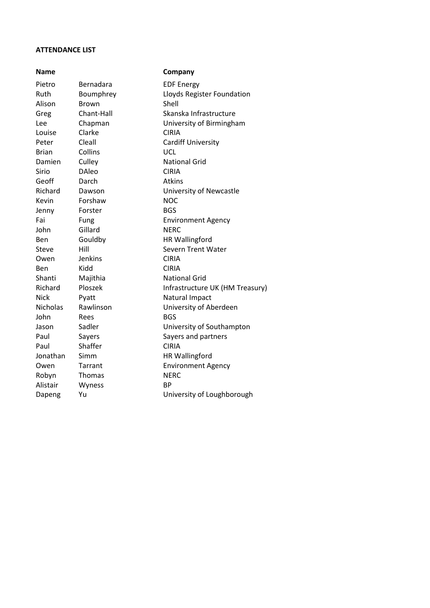#### **ATTENDANCE LIST**

| Name            |               | Company                         |
|-----------------|---------------|---------------------------------|
| Pietro          | Bernadara     | <b>EDF Energy</b>               |
| Ruth            | Boumphrey     | Lloyds Register Foundation      |
| Alison          | Brown         | Shell                           |
| Greg            | Chant-Hall    | Skanska Infrastructure          |
| Lee             | Chapman       | University of Birmingham        |
| Louise          | Clarke        | <b>CIRIA</b>                    |
| Peter           | Cleall        | <b>Cardiff University</b>       |
| <b>Brian</b>    | Collins       | UCL                             |
| Damien          | Culley        | <b>National Grid</b>            |
| Sirio           | <b>DAleo</b>  | <b>CIRIA</b>                    |
| Geoff           | Darch         | <b>Atkins</b>                   |
| Richard         | Dawson        | University of Newcastle         |
| Kevin           | Forshaw       | <b>NOC</b>                      |
| Jenny           | Forster       | <b>BGS</b>                      |
| Fai             | Fung          | <b>Environment Agency</b>       |
| John            | Gillard       | <b>NERC</b>                     |
| Ben             | Gouldby       | <b>HR Wallingford</b>           |
| <b>Steve</b>    | Hill          | <b>Severn Trent Water</b>       |
| Owen            | Jenkins       | <b>CIRIA</b>                    |
| Ben             | Kidd          | <b>CIRIA</b>                    |
| Shanti          | Majithia      | <b>National Grid</b>            |
| Richard         | Ploszek       | Infrastructure UK (HM Treasury) |
| <b>Nick</b>     | Pyatt         | Natural Impact                  |
| <b>Nicholas</b> | Rawlinson     | University of Aberdeen          |
| John            | Rees          | <b>BGS</b>                      |
| Jason           | Sadler        | University of Southampton       |
| Paul            | Sayers        | Sayers and partners             |
| Paul            | Shaffer       | <b>CIRIA</b>                    |
| Jonathan        | Simm          | <b>HR Wallingford</b>           |
| Owen            | Tarrant       | <b>Environment Agency</b>       |
| Robyn           | <b>Thomas</b> | <b>NERC</b>                     |
| Alistair        | Wyness        | <b>BP</b>                       |
| Dapeng          | Yu            | University of Loughborough      |
|                 |               |                                 |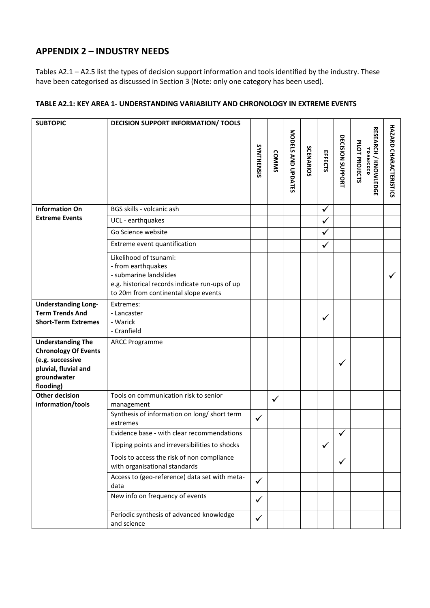# **APPENDIX 2 – INDUSTRY NEEDS**

Tables A2.1 – A2.5 list the types of decision support information and tools identified by the industry. These have been categorised as discussed in Section 3 (Note: only one category has been used).

## **TABLE A2.1: KEY AREA 1- UNDERSTANDING VARIABILITY AND CHRONOLOGY IN EXTREME EVENTS**

| <b>SUBTOPIC</b>                                      | DECISION SUPPORT INFORMATION/ TOOLS                                                                                                                              |              |              |                    |           |              |                  |                |                                               |                        |
|------------------------------------------------------|------------------------------------------------------------------------------------------------------------------------------------------------------------------|--------------|--------------|--------------------|-----------|--------------|------------------|----------------|-----------------------------------------------|------------------------|
|                                                      |                                                                                                                                                                  | SYNTHENSIS   | <b>COMMS</b> | MODELS AND UPDATES | SCENARIOS | EFFECTS      | DECISION SUPPORT | PILOT PROJECTS | <b>RESEARCH / KNOWLEDGE</b><br><b>TDANCEE</b> | HAZARD CHARACTERISTICS |
| <b>Information On</b>                                | BGS skills - volcanic ash                                                                                                                                        |              |              |                    |           | ✓            |                  |                |                                               |                        |
| <b>Extreme Events</b>                                | UCL - earthquakes                                                                                                                                                |              |              |                    |           | ✓            |                  |                |                                               |                        |
|                                                      | Go Science website                                                                                                                                               |              |              |                    |           | $\checkmark$ |                  |                |                                               |                        |
|                                                      | Extreme event quantification                                                                                                                                     |              |              |                    |           | $\checkmark$ |                  |                |                                               |                        |
|                                                      | Likelihood of tsunami:<br>- from earthquakes<br>- submarine landslides<br>e.g. historical records indicate run-ups of up<br>to 20m from continental slope events |              |              |                    |           |              |                  |                |                                               |                        |
| <b>Understanding Long-</b>                           | Extremes:                                                                                                                                                        |              |              |                    |           |              |                  |                |                                               |                        |
| <b>Term Trends And</b><br><b>Short-Term Extremes</b> | - Lancaster<br>- Warick                                                                                                                                          |              |              |                    |           | ✓            |                  |                |                                               |                        |
|                                                      | - Cranfield                                                                                                                                                      |              |              |                    |           |              |                  |                |                                               |                        |
| <b>Understanding The</b>                             | <b>ARCC Programme</b>                                                                                                                                            |              |              |                    |           |              |                  |                |                                               |                        |
| <b>Chronology Of Events</b>                          |                                                                                                                                                                  |              |              |                    |           |              |                  |                |                                               |                        |
| (e.g. successive<br>pluvial, fluvial and             |                                                                                                                                                                  |              |              |                    |           |              | √                |                |                                               |                        |
| groundwater                                          |                                                                                                                                                                  |              |              |                    |           |              |                  |                |                                               |                        |
| flooding)                                            |                                                                                                                                                                  |              |              |                    |           |              |                  |                |                                               |                        |
| <b>Other decision</b><br>information/tools           | Tools on communication risk to senior<br>management                                                                                                              |              | $\checkmark$ |                    |           |              |                  |                |                                               |                        |
|                                                      | Synthesis of information on long/ short term<br>extremes                                                                                                         | $\checkmark$ |              |                    |           |              |                  |                |                                               |                        |
|                                                      | Evidence base - with clear recommendations                                                                                                                       |              |              |                    |           |              | ✓                |                |                                               |                        |
|                                                      | Tipping points and irreversibilities to shocks                                                                                                                   |              |              |                    |           | $\checkmark$ |                  |                |                                               |                        |
|                                                      | Tools to access the risk of non compliance<br>with organisational standards                                                                                      |              |              |                    |           |              | $\checkmark$     |                |                                               |                        |
|                                                      | Access to (geo-reference) data set with meta-<br>data                                                                                                            | $\checkmark$ |              |                    |           |              |                  |                |                                               |                        |
|                                                      | New info on frequency of events                                                                                                                                  | $\checkmark$ |              |                    |           |              |                  |                |                                               |                        |
|                                                      | Periodic synthesis of advanced knowledge<br>and science                                                                                                          | $\checkmark$ |              |                    |           |              |                  |                |                                               |                        |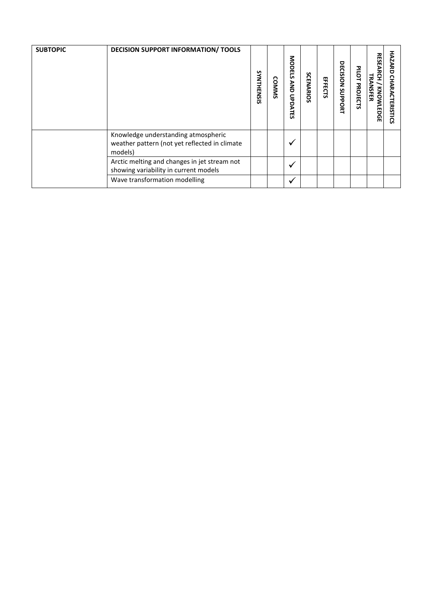| <b>SUBTOPIC</b> | <b>DECISION SUPPORT INFORMATION/ TOOLS</b>                                                      | SYNTHENSIS | <b>COMMS</b> | <b>MODELS</b><br>AND<br>UPDATES | <b>SCENARIOS</b> | EFFECTS | 몪<br><b>NOISIDE</b><br>SUPPORT | PILOT PROJECTS | <b>RESEARCH</b><br>TRANSFER<br>KNOWLEDGE | <b>HAZARD</b><br><b>CHARACTERISTICS</b> |
|-----------------|-------------------------------------------------------------------------------------------------|------------|--------------|---------------------------------|------------------|---------|--------------------------------|----------------|------------------------------------------|-----------------------------------------|
|                 | Knowledge understanding atmospheric<br>weather pattern (not yet reflected in climate<br>models) |            |              | ✔                               |                  |         |                                |                |                                          |                                         |
|                 | Arctic melting and changes in jet stream not<br>showing variability in current models           |            |              | ✓                               |                  |         |                                |                |                                          |                                         |
|                 | Wave transformation modelling                                                                   |            |              | ✓                               |                  |         |                                |                |                                          |                                         |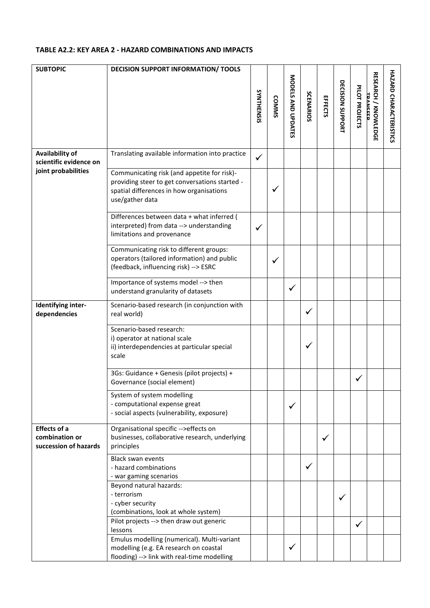### **TABLE A2.2: KEY AREA 2 - HAZARD COMBINATIONS AND IMPACTS**

| <b>SUBTOPIC</b>                                                | <b>DECISION SUPPORT INFORMATION/ TOOLS</b>                                                                                                                   |              |              |                    |                  |         |                  |                |                                         |                               |
|----------------------------------------------------------------|--------------------------------------------------------------------------------------------------------------------------------------------------------------|--------------|--------------|--------------------|------------------|---------|------------------|----------------|-----------------------------------------|-------------------------------|
|                                                                |                                                                                                                                                              | SYNTHENSIS   | <b>COMMS</b> | MODELS AND UPDATES | <b>SCENARIOS</b> | EFFECTS | DECISION SUPPORT | PILOT PROJECTS | <b>RESEARCH / KNOWLEDGE</b><br>TDANCEEE | <b>HAZARD CHARACTERISTICS</b> |
| Availability of<br>scientific evidence on                      | Translating available information into practice                                                                                                              | $\checkmark$ |              |                    |                  |         |                  |                |                                         |                               |
| joint probabilities                                            | Communicating risk (and appetite for risk)-<br>providing steer to get conversations started -<br>spatial differences in how organisations<br>use/gather data |              | ✓            |                    |                  |         |                  |                |                                         |                               |
|                                                                | Differences between data + what inferred (<br>interpreted) from data --> understanding<br>limitations and provenance                                         | ✓            |              |                    |                  |         |                  |                |                                         |                               |
|                                                                | Communicating risk to different groups:<br>operators (tailored information) and public<br>(feedback, influencing risk) --> ESRC                              |              | ✓            |                    |                  |         |                  |                |                                         |                               |
|                                                                | Importance of systems model --> then<br>understand granularity of datasets                                                                                   |              |              | ✓                  |                  |         |                  |                |                                         |                               |
| Identifying inter-<br>dependencies                             | Scenario-based research (in conjunction with<br>real world)                                                                                                  |              |              |                    | ✓                |         |                  |                |                                         |                               |
|                                                                | Scenario-based research:<br>i) operator at national scale<br>ii) interdependencies at particular special<br>scale                                            |              |              |                    | ✓                |         |                  |                |                                         |                               |
|                                                                | 3Gs: Guidance + Genesis (pilot projects) +<br>Governance (social element)                                                                                    |              |              |                    |                  |         |                  |                |                                         |                               |
|                                                                | System of system modelling<br>- computational expense great<br>- social aspects (vulnerability, exposure)                                                    |              |              | ✓                  |                  |         |                  |                |                                         |                               |
| <b>Effects of a</b><br>combination or<br>succession of hazards | Organisational specific -->effects on<br>businesses, collaborative research, underlying<br>principles                                                        |              |              |                    |                  | ✓       |                  |                |                                         |                               |
|                                                                | <b>Black swan events</b><br>- hazard combinations<br>- war gaming scenarios                                                                                  |              |              |                    | ✓                |         |                  |                |                                         |                               |
|                                                                | Beyond natural hazards:<br>- terrorism<br>- cyber security<br>(combinations, look at whole system)                                                           |              |              |                    |                  |         | ✓                |                |                                         |                               |
|                                                                | Pilot projects --> then draw out generic<br>lessons                                                                                                          |              |              |                    |                  |         |                  | $\checkmark$   |                                         |                               |
|                                                                | Emulus modelling (numerical). Multi-variant<br>modelling (e.g. EA research on coastal<br>flooding) --> link with real-time modelling                         |              |              | $\checkmark$       |                  |         |                  |                |                                         |                               |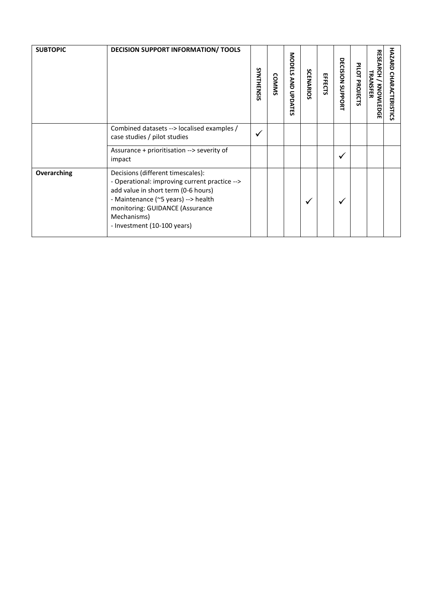| <b>SUBTOPIC</b> | <b>DECISION SUPPORT INFORMATION/ TOOLS</b>                                                                                                                                                                                                        | SYNTHENSIS   | <b>COMMS</b> | <b>MODELS</b><br><b>AND UPDATES</b> | SCENARIOS | EFFECTS | DECISION SUPPORT | PILOT PROJECTS | <b>RESEARCH / KNOWLEDGE</b><br>TRANSFER | <b>HAZARD</b><br><b>CHARACTERISTICS</b> |
|-----------------|---------------------------------------------------------------------------------------------------------------------------------------------------------------------------------------------------------------------------------------------------|--------------|--------------|-------------------------------------|-----------|---------|------------------|----------------|-----------------------------------------|-----------------------------------------|
|                 | Combined datasets --> localised examples /<br>case studies / pilot studies                                                                                                                                                                        | $\checkmark$ |              |                                     |           |         |                  |                |                                         |                                         |
|                 | Assurance + prioritisation --> severity of<br>impact                                                                                                                                                                                              |              |              |                                     |           |         | ✓                |                |                                         |                                         |
| Overarching     | Decisions (different timescales):<br>- Operational: improving current practice --><br>add value in short term (0-6 hours)<br>- Maintenance (~5 years) --> health<br>monitoring: GUIDANCE (Assurance<br>Mechanisms)<br>- Investment (10-100 years) |              |              |                                     | ✓         |         | √                |                |                                         |                                         |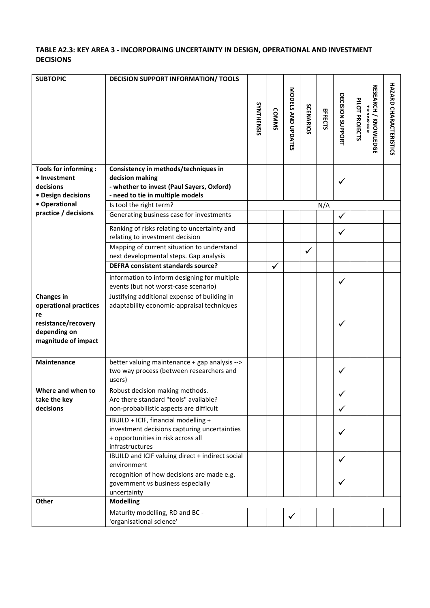## **TABLE A2.3: KEY AREA 3 - INCORPORAING UNCERTAINTY IN DESIGN, OPERATIONAL AND INVESTMENT DECISIONS**

| <b>SUBTOPIC</b>                                    | <b>DECISION SUPPORT INFORMATION/ TOOLS</b>                                                                                                    |            |              |                    |                  |         |                  |                |                                        |                               |
|----------------------------------------------------|-----------------------------------------------------------------------------------------------------------------------------------------------|------------|--------------|--------------------|------------------|---------|------------------|----------------|----------------------------------------|-------------------------------|
|                                                    |                                                                                                                                               | SYNTHENSIS | <b>COMMS</b> | MODELS AND UPDATES | <b>SCENARIOS</b> | EFFECTS | DECISION SUPPORT | PILOT PROJECTS | <b>RESEARCH / KNOWLEDG</b><br>TDANCEED | <b>HAZARD CHARACTERISTICS</b> |
| Tools for informing :<br>• Investment<br>decisions | Consistency in methods/techniques in<br>decision making<br>- whether to invest (Paul Sayers, Oxford)                                          |            |              |                    |                  |         | ✓                |                |                                        |                               |
| · Design decisions<br>• Operational                | - need to tie in multiple models                                                                                                              |            |              |                    |                  |         |                  |                |                                        |                               |
| practice / decisions                               | Is tool the right term?                                                                                                                       |            |              |                    |                  | N/A     |                  |                |                                        |                               |
|                                                    | Generating business case for investments                                                                                                      |            |              |                    |                  |         | ✓                |                |                                        |                               |
|                                                    | Ranking of risks relating to uncertainty and<br>relating to investment decision                                                               |            |              |                    |                  |         | ✓                |                |                                        |                               |
|                                                    | Mapping of current situation to understand                                                                                                    |            |              |                    | $\checkmark$     |         |                  |                |                                        |                               |
|                                                    | next developmental steps. Gap analysis                                                                                                        |            |              |                    |                  |         |                  |                |                                        |                               |
|                                                    | <b>DEFRA consistent standards source?</b>                                                                                                     |            | ✓            |                    |                  |         |                  |                |                                        |                               |
|                                                    | information to inform designing for multiple                                                                                                  |            |              |                    |                  |         | ✓                |                |                                        |                               |
|                                                    | events (but not worst-case scenario)                                                                                                          |            |              |                    |                  |         |                  |                |                                        |                               |
| <b>Changes in</b>                                  | Justifying additional expense of building in                                                                                                  |            |              |                    |                  |         |                  |                |                                        |                               |
| operational practices                              | adaptability economic-appraisal techniques                                                                                                    |            |              |                    |                  |         |                  |                |                                        |                               |
| re                                                 |                                                                                                                                               |            |              |                    |                  |         |                  |                |                                        |                               |
| resistance/recovery<br>depending on                |                                                                                                                                               |            |              |                    |                  |         | $\checkmark$     |                |                                        |                               |
| magnitude of impact                                |                                                                                                                                               |            |              |                    |                  |         |                  |                |                                        |                               |
|                                                    |                                                                                                                                               |            |              |                    |                  |         |                  |                |                                        |                               |
| Maintenance                                        | better valuing maintenance + gap analysis --><br>two way process (between researchers and<br>users)                                           |            |              |                    |                  |         | ✓                |                |                                        |                               |
| Where and when to                                  | Robust decision making methods.                                                                                                               |            |              |                    |                  |         |                  |                |                                        |                               |
| take the key                                       | Are there standard "tools" available?                                                                                                         |            |              |                    |                  |         |                  |                |                                        |                               |
| decisions                                          | non-probabilistic aspects are difficult                                                                                                       |            |              |                    |                  |         | ✓                |                |                                        |                               |
|                                                    | IBUILD + ICIF, financial modelling +<br>investment decisions capturing uncertainties<br>+ opportunities in risk across all<br>infrastructures |            |              |                    |                  |         | $\checkmark$     |                |                                        |                               |
|                                                    | IBUILD and ICIF valuing direct + indirect social<br>environment                                                                               |            |              |                    |                  |         | $\checkmark$     |                |                                        |                               |
|                                                    | recognition of how decisions are made e.g.<br>government vs business especially<br>uncertainty                                                |            |              |                    |                  |         |                  |                |                                        |                               |
| <b>Other</b>                                       | <b>Modelling</b>                                                                                                                              |            |              |                    |                  |         |                  |                |                                        |                               |
|                                                    | Maturity modelling, RD and BC -<br>'organisational science'                                                                                   |            |              | $\checkmark$       |                  |         |                  |                |                                        |                               |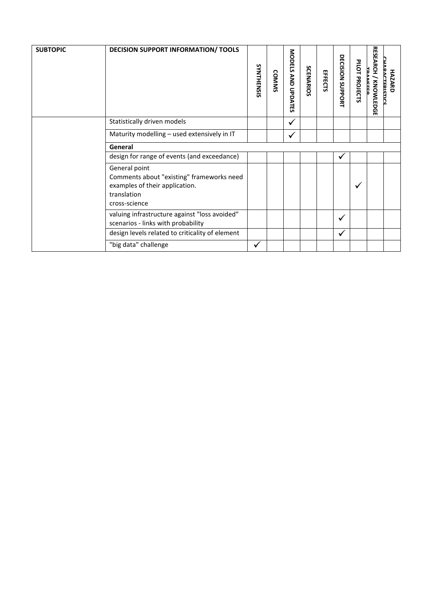| <b>SUBTOPIC</b> | <b>DECISION SUPPORT INFORMATION/ TOOLS</b>                                                                                   | SYNTHENSIS   | <b>COMMS</b> | MODELS AND UPDATES | SCENARIOS | EFFECTS | DECISION SUPPORT | PILOT PROJECTS | <b>RESEARCH / KNOWLEDG</b><br><b>TDANCEED</b><br>m | <b>CHARACTERISTIC</b><br><b>HAZARD</b> |
|-----------------|------------------------------------------------------------------------------------------------------------------------------|--------------|--------------|--------------------|-----------|---------|------------------|----------------|----------------------------------------------------|----------------------------------------|
|                 | Statistically driven models                                                                                                  |              |              | $\checkmark$       |           |         |                  |                |                                                    |                                        |
|                 | Maturity modelling - used extensively in IT                                                                                  |              |              | $\checkmark$       |           |         |                  |                |                                                    |                                        |
|                 | General                                                                                                                      |              |              |                    |           |         |                  |                |                                                    |                                        |
|                 | design for range of events (and exceedance)                                                                                  |              |              |                    |           |         | $\checkmark$     |                |                                                    |                                        |
|                 | General point<br>Comments about "existing" frameworks need<br>examples of their application.<br>translation<br>cross-science |              |              |                    |           |         |                  |                |                                                    |                                        |
|                 | valuing infrastructure against "loss avoided"<br>scenarios - links with probability                                          |              |              |                    |           |         | ✓                |                |                                                    |                                        |
|                 | design levels related to criticality of element                                                                              |              |              |                    |           |         | ✓                |                |                                                    |                                        |
|                 | "big data" challenge                                                                                                         | $\checkmark$ |              |                    |           |         |                  |                |                                                    |                                        |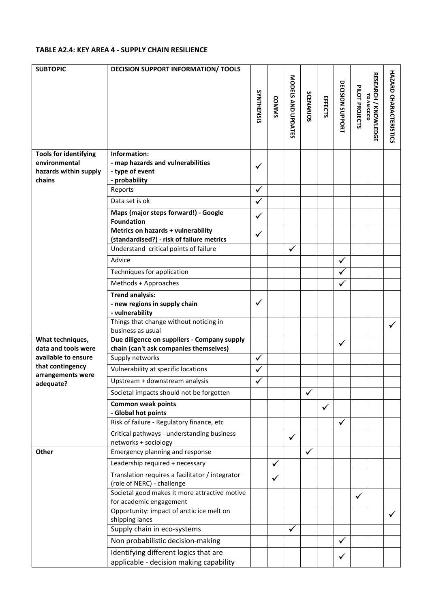#### **TABLE A2.4: KEY AREA 4 - SUPPLY CHAIN RESILIENCE**

| <b>SUBTOPIC</b>                            | <b>DECISION SUPPORT INFORMATION/ TOOLS</b>                                      |              |              |                    |              |              |                  |                |                                         |                               |
|--------------------------------------------|---------------------------------------------------------------------------------|--------------|--------------|--------------------|--------------|--------------|------------------|----------------|-----------------------------------------|-------------------------------|
|                                            |                                                                                 | SYNTHENSIS   | <b>COMMS</b> | MODELS AND UPDATES | SCENARIOS    | EFFECTS      | DECISION SUPPORT | PILOT PROJECTS | <b>RESEARCH / KNOWLEDGE</b><br>TDANCEED | <b>HAZARD CHARACTERISTICS</b> |
| <b>Tools for identifying</b>               | Information:                                                                    |              |              |                    |              |              |                  |                |                                         |                               |
| environmental                              | - map hazards and vulnerabilities                                               | $\checkmark$ |              |                    |              |              |                  |                |                                         |                               |
| hazards within supply                      | - type of event                                                                 |              |              |                    |              |              |                  |                |                                         |                               |
| chains                                     | - probability                                                                   |              |              |                    |              |              |                  |                |                                         |                               |
|                                            | Reports                                                                         | $\checkmark$ |              |                    |              |              |                  |                |                                         |                               |
|                                            | Data set is ok                                                                  | $\checkmark$ |              |                    |              |              |                  |                |                                         |                               |
|                                            | Maps (major steps forward!) - Google<br><b>Foundation</b>                       | $\checkmark$ |              |                    |              |              |                  |                |                                         |                               |
|                                            | Metrics on hazards + vulnerability<br>(standardised?) - risk of failure metrics | $\checkmark$ |              |                    |              |              |                  |                |                                         |                               |
|                                            | Understand critical points of failure                                           |              |              | $\checkmark$       |              |              |                  |                |                                         |                               |
|                                            | Advice                                                                          |              |              |                    |              |              | $\checkmark$     |                |                                         |                               |
|                                            | Techniques for application                                                      |              |              |                    |              |              | ✓                |                |                                         |                               |
|                                            | Methods + Approaches                                                            |              |              |                    |              |              | ✓                |                |                                         |                               |
|                                            | <b>Trend analysis:</b>                                                          |              |              |                    |              |              |                  |                |                                         |                               |
|                                            | - new regions in supply chain                                                   | ✓            |              |                    |              |              |                  |                |                                         |                               |
|                                            | - vulnerability                                                                 |              |              |                    |              |              |                  |                |                                         |                               |
|                                            | Things that change without noticing in                                          |              |              |                    |              |              |                  |                |                                         | ✓                             |
|                                            | business as usual                                                               |              |              |                    |              |              |                  |                |                                         |                               |
| What techniques,                           | Due diligence on suppliers - Company supply                                     |              |              |                    |              |              | ✓                |                |                                         |                               |
| data and tools were<br>available to ensure | chain (can't ask companies themselves)<br>Supply networks                       |              |              |                    |              |              |                  |                |                                         |                               |
| that contingency                           |                                                                                 | $\checkmark$ |              |                    |              |              |                  |                |                                         |                               |
| arrangements were                          | Vulnerability at specific locations                                             | $\checkmark$ |              |                    |              |              |                  |                |                                         |                               |
| adequate?                                  | Upstream + downstream analysis                                                  | $\checkmark$ |              |                    |              |              |                  |                |                                         |                               |
|                                            | Societal impacts should not be forgotten                                        |              |              |                    | $\checkmark$ |              |                  |                |                                         |                               |
|                                            | <b>Common weak points</b>                                                       |              |              |                    |              | $\checkmark$ |                  |                |                                         |                               |
|                                            | - Global hot points                                                             |              |              |                    |              |              |                  |                |                                         |                               |
|                                            | Risk of failure - Regulatory finance, etc                                       |              |              |                    |              |              | $\checkmark$     |                |                                         |                               |
|                                            | Critical pathways - understanding business<br>networks + sociology              |              |              | $\checkmark$       |              |              |                  |                |                                         |                               |
| <b>Other</b>                               | Emergency planning and response                                                 |              |              |                    | $\checkmark$ |              |                  |                |                                         |                               |
|                                            | Leadership required + necessary                                                 |              | $\checkmark$ |                    |              |              |                  |                |                                         |                               |
|                                            | Translation requires a facilitator / integrator<br>(role of NERC) - challenge   |              | ✓            |                    |              |              |                  |                |                                         |                               |
|                                            | Societal good makes it more attractive motive<br>for academic engagement        |              |              |                    |              |              |                  | $\checkmark$   |                                         |                               |
|                                            | Opportunity: impact of arctic ice melt on<br>shipping lanes                     |              |              |                    |              |              |                  |                |                                         |                               |
|                                            | Supply chain in eco-systems                                                     |              |              | $\checkmark$       |              |              |                  |                |                                         |                               |
|                                            | Non probabilistic decision-making                                               |              |              |                    |              |              | ✓                |                |                                         |                               |
|                                            | Identifying different logics that are                                           |              |              |                    |              |              |                  |                |                                         |                               |
|                                            | applicable - decision making capability                                         |              |              |                    |              |              |                  |                |                                         |                               |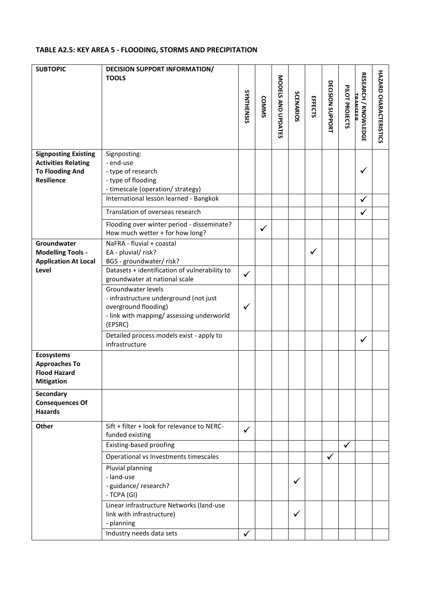#### **TABLE A2.5: KEY AREA 5 - FLOODING, STORMS AND PRECIPITATION**

| <b>SUBTOPIC</b>                                                                                          | <b>DECISION SUPPORT INFORMATION/</b><br><b>TOOLS</b>                                                                                        | SYNTHENSIS   | <b>COMMS</b> | MODELS AND UPDATES | SCENARIOS    | EFFECTS      | DECISION SUPPORT | PILOT PROJECTS | <b>RESEARCH / KNOWLEDGE</b><br><b>TDANCEED</b> | HAZARD CHARACTERISTICS |
|----------------------------------------------------------------------------------------------------------|---------------------------------------------------------------------------------------------------------------------------------------------|--------------|--------------|--------------------|--------------|--------------|------------------|----------------|------------------------------------------------|------------------------|
| <b>Signposting Existing</b><br><b>Activities Relating</b><br><b>To Flooding And</b><br><b>Resilience</b> | Signposting:<br>- end-use<br>- type of research<br>- type of flooding                                                                       |              |              |                    |              |              |                  |                | ✓                                              |                        |
|                                                                                                          | - timescale (operation/ strategy)<br>International lesson learned - Bangkok                                                                 |              |              |                    |              |              |                  |                | ✓                                              |                        |
|                                                                                                          | Translation of overseas research                                                                                                            |              |              |                    |              |              |                  |                |                                                |                        |
|                                                                                                          | Flooding over winter period - disseminate?<br>How much wetter + for how long?                                                               |              | $\checkmark$ |                    |              |              |                  |                |                                                |                        |
| Groundwater<br><b>Modelling Tools -</b><br><b>Application At Local</b>                                   | NaFRA - fluvial + coastal<br>EA - pluvial/ risk?<br>BGS - groundwater/ risk?                                                                |              |              |                    |              | $\checkmark$ |                  |                |                                                |                        |
| Level                                                                                                    | Datasets + identification of vulnerability to<br>groundwater at national scale                                                              | ✓            |              |                    |              |              |                  |                |                                                |                        |
|                                                                                                          | Groundwater levels<br>- infrastructure underground (not just<br>overground flooding)<br>- link with mapping/assessing underworld<br>(EPSRC) |              |              |                    |              |              |                  |                |                                                |                        |
|                                                                                                          | Detailed process models exist - apply to<br>infrastructure                                                                                  |              |              |                    |              |              |                  |                | $\checkmark$                                   |                        |
| <b>Ecosystems</b><br><b>Approaches To</b><br><b>Flood Hazard</b><br><b>Mitigation</b>                    |                                                                                                                                             |              |              |                    |              |              |                  |                |                                                |                        |
| Secondary<br><b>Consequences Of</b><br><b>Hazards</b>                                                    |                                                                                                                                             |              |              |                    |              |              |                  |                |                                                |                        |
| Other                                                                                                    | Sift + filter + look for relevance to NERC-<br>funded existing                                                                              | ✓            |              |                    |              |              |                  |                |                                                |                        |
|                                                                                                          | Existing-based proofing                                                                                                                     |              |              |                    |              |              |                  | $\checkmark$   |                                                |                        |
|                                                                                                          | Operational vs Investments timescales<br>Pluvial planning                                                                                   |              |              |                    |              |              | $\checkmark$     |                |                                                |                        |
|                                                                                                          | - land-use<br>- guidance/ research?<br>- TCPA (GI)                                                                                          |              |              |                    | $\checkmark$ |              |                  |                |                                                |                        |
|                                                                                                          | Linear infrastructure Networks (land-use<br>link with infrastructure)<br>- planning                                                         |              |              |                    | ✓            |              |                  |                |                                                |                        |
|                                                                                                          | Industry needs data sets                                                                                                                    | $\checkmark$ |              |                    |              |              |                  |                |                                                |                        |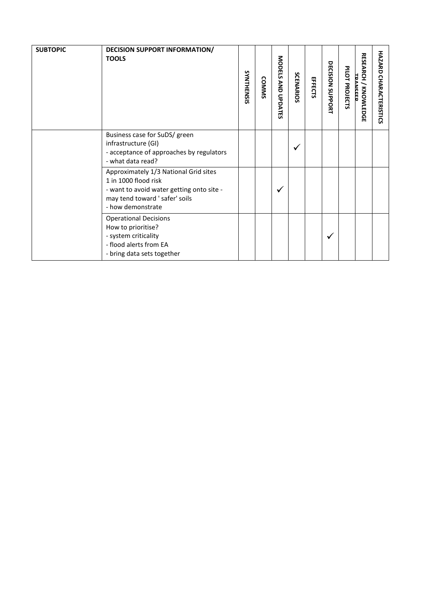| <b>SUBTOPIC</b> | <b>DECISION SUPPORT INFORMATION/</b><br><b>TOOLS</b>                                                                                                              | SYNTHENSIS | <b>COMMS</b> | MODELS AND UPDATES | SCENARIOS | EFFECTS | DECISION SUPPORT | PILOT PROJECTS | <b>RESEARCH / KNOWLEDG</b><br>TDANCEEE<br>m | <b>HAZARD</b><br><b>CHARACTERISTICS</b> |
|-----------------|-------------------------------------------------------------------------------------------------------------------------------------------------------------------|------------|--------------|--------------------|-----------|---------|------------------|----------------|---------------------------------------------|-----------------------------------------|
|                 | Business case for SuDS/ green<br>infrastructure (GI)<br>- acceptance of approaches by regulators<br>- what data read?                                             |            |              |                    |           |         |                  |                |                                             |                                         |
|                 | Approximately 1/3 National Grid sites<br>1 in 1000 flood risk<br>- want to avoid water getting onto site -<br>may tend toward ' safer' soils<br>- how demonstrate |            |              | √                  |           |         |                  |                |                                             |                                         |
|                 | <b>Operational Decisions</b><br>How to prioritise?<br>- system criticality<br>- flood alerts from EA<br>- bring data sets together                                |            |              |                    |           |         | $\checkmark$     |                |                                             |                                         |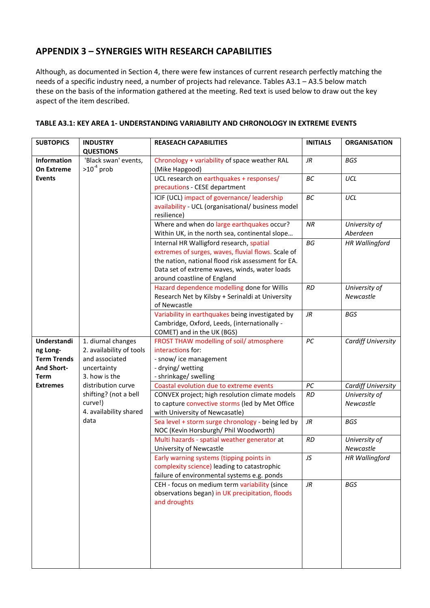# **APPENDIX 3 – SYNERGIES WITH RESEARCH CAPABILITIES**

Although, as documented in Section 4, there were few instances of current research perfectly matching the needs of a specific industry need, a number of projects had relevance. Tables A3.1 – A3.5 below match these on the basis of the information gathered at the meeting. Red text is used below to draw out the key aspect of the item described.

| <b>SUBTOPICS</b>   | <b>INDUSTRY</b>          | <b>REASEACH CAPABILITIES</b>                       | <b>INITIALS</b> | <b>ORGANISATION</b>       |
|--------------------|--------------------------|----------------------------------------------------|-----------------|---------------------------|
|                    | <b>QUESTIONS</b>         |                                                    |                 |                           |
| Information        | 'Black swan' events,     | Chronology + variability of space weather RAL      | JR              | <b>BGS</b>                |
| <b>On Extreme</b>  | $>10^{-4}$ prob          | (Mike Hapgood)                                     |                 |                           |
| <b>Events</b>      |                          | UCL research on earthquakes + responses/           | BC              | UCL                       |
|                    |                          | precautions - CESE department                      |                 |                           |
|                    |                          | ICIF (UCL) impact of governance/ leadership        | BC              | UCL                       |
|                    |                          | availability - UCL (organisational/ business model |                 |                           |
|                    |                          | resilience)                                        |                 |                           |
|                    |                          | Where and when do large earthquakes occur?         | <b>NR</b>       | University of             |
|                    |                          | Within UK, in the north sea, continental slope     |                 | Aberdeen                  |
|                    |                          | Internal HR Walligford research, spatial           | BG              | <b>HR Wallingford</b>     |
|                    |                          | extremes of surges, waves, fluvial flows. Scale of |                 |                           |
|                    |                          | the nation, national flood risk assessment for EA. |                 |                           |
|                    |                          | Data set of extreme waves, winds, water loads      |                 |                           |
|                    |                          | around coastline of England                        |                 |                           |
|                    |                          | Hazard dependence modelling done for Willis        | RD              | University of             |
|                    |                          | Research Net by Kilsby + Serinaldi at University   |                 | Newcastle                 |
|                    |                          | of Newcastle                                       |                 |                           |
|                    |                          | Variability in earthquakes being investigated by   | JR              | <b>BGS</b>                |
|                    |                          | Cambridge, Oxford, Leeds, (internationally -       |                 |                           |
|                    |                          | COMET) and in the UK (BGS)                         |                 |                           |
| Understandi        | 1. diurnal changes       | FROST THAW modelling of soil/atmosphere            | $PC$            | <b>Cardiff University</b> |
| ng Long-           | 2. availability of tools | interactions for:                                  |                 |                           |
| <b>Term Trends</b> | and associated           | - snow/ ice management                             |                 |                           |
| <b>And Short-</b>  | uncertainty              | - drying/wetting                                   |                 |                           |
| <b>Term</b>        | 3. how is the            | - shrinkage/ swelling                              |                 |                           |
| <b>Extremes</b>    | distribution curve       | Coastal evolution due to extreme events            | $PC$            | <b>Cardiff University</b> |
|                    | shifting? (not a bell    | CONVEX project; high resolution climate models     | <b>RD</b>       | University of             |
|                    | curve!)                  | to capture convective storms (led by Met Office    |                 | Newcastle                 |
|                    | 4. availability shared   | with University of Newcasatle)                     |                 |                           |
|                    | data                     | Sea level + storm surge chronology - being led by  | JR              | <b>BGS</b>                |
|                    |                          | NOC (Kevin Horsburgh/ Phil Woodworth)              |                 |                           |
|                    |                          | Multi hazards - spatial weather generator at       | <b>RD</b>       | University of             |
|                    |                          | University of Newcastle                            |                 | Newcastle                 |
|                    |                          | Early warning systems (tipping points in           | JS              | <b>HR Wallingford</b>     |
|                    |                          | complexity science) leading to catastrophic        |                 |                           |
|                    |                          | failure of environmental systems e.g. ponds        |                 |                           |
|                    |                          | CEH - focus on medium term variability (since      | $J\!R$          | <b>BGS</b>                |
|                    |                          | observations began) in UK precipitation, floods    |                 |                           |
|                    |                          | and droughts                                       |                 |                           |
|                    |                          |                                                    |                 |                           |
|                    |                          |                                                    |                 |                           |
|                    |                          |                                                    |                 |                           |
|                    |                          |                                                    |                 |                           |
|                    |                          |                                                    |                 |                           |
|                    |                          |                                                    |                 |                           |
|                    |                          |                                                    |                 |                           |

#### **TABLE A3.1: KEY AREA 1- UNDERSTANDING VARIABILITY AND CHRONOLOGY IN EXTREME EVENTS**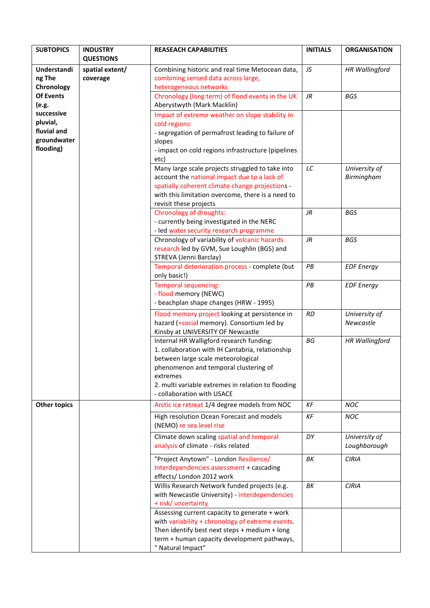| <b>SUBTOPICS</b>                                                  | <b>INDUSTRY</b>                                 | <b>REASEACH CAPABILITIES</b>                                                                                                                                                                                                                                                | <b>INITIALS</b> | <b>ORGANISATION</b>           |
|-------------------------------------------------------------------|-------------------------------------------------|-----------------------------------------------------------------------------------------------------------------------------------------------------------------------------------------------------------------------------------------------------------------------------|-----------------|-------------------------------|
| Understandi<br>ng The<br>Chronology                               | <b>QUESTIONS</b><br>spatial extent/<br>coverage | Combining historic and real time Metocean data,<br>combining sensed data across large,<br>heterogeneous networks                                                                                                                                                            | JS              | <b>HR Wallingford</b>         |
| <b>Of Events</b><br>(e.g.                                         |                                                 | Chronology (long term) of flood events in the UK<br>Aberystwyth (Mark Macklin)                                                                                                                                                                                              | $J\!R$          | <b>BGS</b>                    |
| successive<br>pluvial,<br>fluvial and<br>groundwater<br>flooding) |                                                 | Impact of extreme weather on slope stability in<br>cold regions:<br>- segregation of permafrost leading to failure of<br>slopes<br>- impact on cold regions infrastructure (pipelines<br>etc)                                                                               |                 |                               |
|                                                                   |                                                 | Many large scale projects struggled to take into<br>account the national impact due to a lack of<br>spatially coherent climate change projections -<br>with this limitation overcome, there is a need to<br>revisit these projects                                          | LC              | University of<br>Birmingham   |
|                                                                   |                                                 | Chronology of droughts:<br>- currently being investigated in the NERC<br>- led water security research programme                                                                                                                                                            | JR              | <b>BGS</b>                    |
|                                                                   |                                                 | Chronology of variability of volcanic hazards<br>research led by GVM, Sue Loughlin (BGS) and<br>STREVA (Jenni Barclay)                                                                                                                                                      | <b>JR</b>       | <b>BGS</b>                    |
|                                                                   |                                                 | Temporal deterioration process - complete (but<br>only basic!)                                                                                                                                                                                                              | PB              | <b>EDF</b> Energy             |
|                                                                   |                                                 | Temporal sequencing:<br>- flood memory (NEWC)<br>- beachplan shape changes (HRW - 1995)                                                                                                                                                                                     | PB              | <b>EDF</b> Energy             |
|                                                                   |                                                 | Flood memory project looking at persistence in<br>hazard (+social memory). Consortium led by<br>Kinsby at UNIVERSITY OF Newcastle                                                                                                                                           | <b>RD</b>       | University of<br>Newcastle    |
|                                                                   |                                                 | Internal HR Walligford research funding:<br>1. collaboration with IH Cantabria, relationship<br>between large scale meteorological<br>phenomenon and temporal clustering of<br>extremes<br>2. multi variable extremes in relation to flooding<br>- collaboration with USACE | BG              | <b>HR Wallingford</b>         |
| <b>Other topics</b>                                               |                                                 | Arctic ice retreat 1/4 degree models from NOC                                                                                                                                                                                                                               | KF              | <b>NOC</b>                    |
|                                                                   |                                                 | High resolution Ocean Forecast and models<br>(NEMO) re sea level rise                                                                                                                                                                                                       | <b>KF</b>       | <b>NOC</b>                    |
|                                                                   |                                                 | Climate down scaling spatial and temporal<br>analysis of climate - risks related                                                                                                                                                                                            | DY              | University of<br>Loughborough |
|                                                                   |                                                 | "Project Anytown" - London Resilience/<br>Interdependencies assessment + cascading<br>effects/ London 2012 work                                                                                                                                                             | ΒK              | <b>CIRIA</b>                  |
|                                                                   |                                                 | Willis Research Network funded projects (e.g.<br>with Newcastle University) - interdependencies<br>+ risk/ uncertainty                                                                                                                                                      | ΒK              | <b>CIRIA</b>                  |
|                                                                   |                                                 | Assessing current capacity to generate + work<br>with variability + chronology of extreme events.<br>Then identify best next steps $+$ medium $+$ long<br>term + human capacity development pathways,<br>" Natural Impact"                                                  |                 |                               |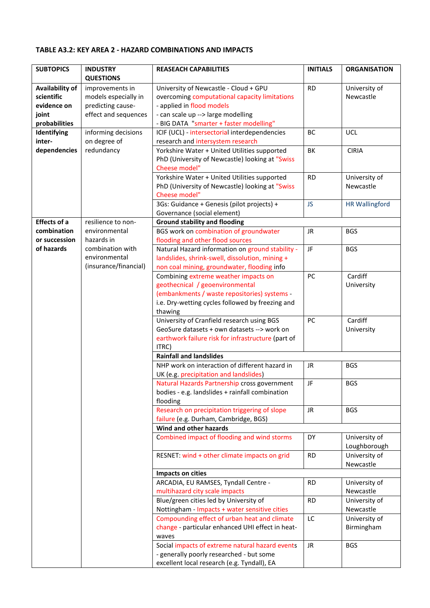#### **TABLE A3.2: KEY AREA 2 - HAZARD COMBINATIONS AND IMPACTS**

| <b>QUESTIONS</b><br><b>Availability of</b><br>University of Newcastle - Cloud + GPU<br><b>RD</b><br>University of<br>improvements in<br>scientific<br>models especially in<br>overcoming computational capacity limitations<br>Newcastle<br>evidence on<br>predicting cause-<br>- applied in flood models |
|-----------------------------------------------------------------------------------------------------------------------------------------------------------------------------------------------------------------------------------------------------------------------------------------------------------|
|                                                                                                                                                                                                                                                                                                           |
|                                                                                                                                                                                                                                                                                                           |
|                                                                                                                                                                                                                                                                                                           |
| effect and sequences<br>- can scale up --> large modelling<br>joint                                                                                                                                                                                                                                       |
| - BIG DATA "smarter + faster modelling"<br>probabilities                                                                                                                                                                                                                                                  |
| informing decisions<br>ICIF (UCL) - intersectorial interdependencies<br>Identifying<br><b>BC</b><br><b>UCL</b>                                                                                                                                                                                            |
| inter-<br>on degree of<br>research and intersystem research                                                                                                                                                                                                                                               |
| dependencies<br>redundancy<br>Yorkshire Water + United Utilities supported<br>BK<br><b>CIRIA</b>                                                                                                                                                                                                          |
| PhD (University of Newcastle) looking at "Swiss                                                                                                                                                                                                                                                           |
| Cheese model"                                                                                                                                                                                                                                                                                             |
| Yorkshire Water + United Utilities supported<br><b>RD</b><br>University of                                                                                                                                                                                                                                |
| PhD (University of Newcastle) looking at "Swiss<br>Newcastle                                                                                                                                                                                                                                              |
| Cheese model"                                                                                                                                                                                                                                                                                             |
| 3Gs: Guidance + Genesis (pilot projects) +<br><b>JS</b><br><b>HR Wallingford</b>                                                                                                                                                                                                                          |
| Governance (social element)                                                                                                                                                                                                                                                                               |
| <b>Effects of a</b><br>resilience to non-<br><b>Ground stability and flooding</b>                                                                                                                                                                                                                         |
| BGS work on combination of groundwater<br>combination<br>environmental<br><b>JR</b><br><b>BGS</b>                                                                                                                                                                                                         |
| or succession<br>hazards in<br>flooding and other flood sources                                                                                                                                                                                                                                           |
| of hazards<br>combination with<br>Natural Hazard information on ground stability -<br>JF<br><b>BGS</b>                                                                                                                                                                                                    |
| environmental<br>landslides, shrink-swell, dissolution, mining +                                                                                                                                                                                                                                          |
| (insurance/financial)<br>non coal mining, groundwater, flooding info                                                                                                                                                                                                                                      |
| Cardiff<br>Combining extreme weather impacts on<br>PC                                                                                                                                                                                                                                                     |
| geothecnical / geoenvironmental<br>University                                                                                                                                                                                                                                                             |
| (embankments / waste repositories) systems -                                                                                                                                                                                                                                                              |
| i.e. Dry-wetting cycles followed by freezing and                                                                                                                                                                                                                                                          |
| thawing<br>Cardiff<br>PC                                                                                                                                                                                                                                                                                  |
| University of Cranfield research using BGS<br>GeoSure datasets + own datasets --> work on                                                                                                                                                                                                                 |
| University<br>earthwork failure risk for infrastructure (part of                                                                                                                                                                                                                                          |
| ITRC)                                                                                                                                                                                                                                                                                                     |
| <b>Rainfall and landslides</b>                                                                                                                                                                                                                                                                            |
| NHP work on interaction of different hazard in<br><b>JR</b><br><b>BGS</b>                                                                                                                                                                                                                                 |
| UK (e.g. precipitation and landslides)                                                                                                                                                                                                                                                                    |
| JF<br>Natural Hazards Partnership cross government<br><b>BGS</b>                                                                                                                                                                                                                                          |
| bodies - e.g. landslides + rainfall combination                                                                                                                                                                                                                                                           |
| flooding                                                                                                                                                                                                                                                                                                  |
| Research on precipitation triggering of slope<br>JR<br><b>BGS</b>                                                                                                                                                                                                                                         |
| failure (e.g. Durham, Cambridge, BGS)                                                                                                                                                                                                                                                                     |
| Wind and other hazards                                                                                                                                                                                                                                                                                    |
| Combined impact of flooding and wind storms<br><b>DY</b><br>University of                                                                                                                                                                                                                                 |
| Loughborough                                                                                                                                                                                                                                                                                              |
| University of<br>RESNET: wind + other climate impacts on grid<br><b>RD</b>                                                                                                                                                                                                                                |
| Newcastle                                                                                                                                                                                                                                                                                                 |
| Impacts on cities                                                                                                                                                                                                                                                                                         |
| ARCADIA, EU RAMSES, Tyndall Centre -<br>University of<br><b>RD</b>                                                                                                                                                                                                                                        |
| multihazard city scale impacts<br>Newcastle                                                                                                                                                                                                                                                               |
| Blue/green cities led by University of<br>University of<br><b>RD</b><br>Newcastle                                                                                                                                                                                                                         |
| Nottingham - Impacts + water sensitive cities<br>Compounding effect of urban heat and climate<br>University of<br>LC                                                                                                                                                                                      |
| change - particular enhanced UHI effect in heat-<br>Birmingham                                                                                                                                                                                                                                            |
| waves                                                                                                                                                                                                                                                                                                     |
| Social impacts of extreme natural hazard events<br>JR<br><b>BGS</b>                                                                                                                                                                                                                                       |
| - generally poorly researched - but some                                                                                                                                                                                                                                                                  |
| excellent local research (e.g. Tyndall), EA                                                                                                                                                                                                                                                               |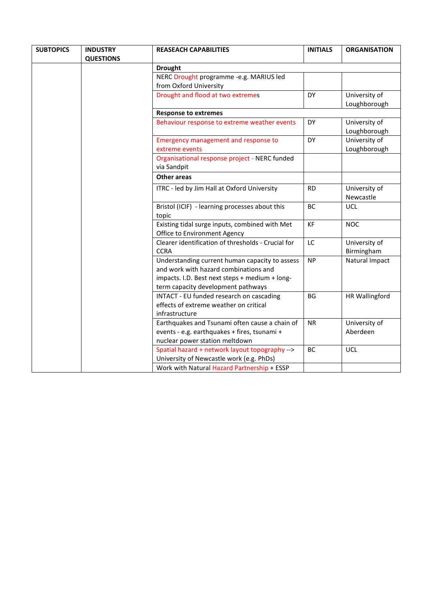| <b>QUESTIONS</b><br><b>Drought</b><br>NERC Drought programme -e.g. MARIUS led<br>from Oxford University<br>Drought and flood at two extremes<br>DY<br>University of<br><b>Response to extremes</b><br>University of<br>Behaviour response to extreme weather events<br><b>DY</b><br>University of<br>Emergency management and response to<br><b>DY</b><br>extreme events<br>Organisational response project - NERC funded<br>via Sandpit<br><b>Other areas</b><br>ITRC - led by Jim Hall at Oxford University<br><b>RD</b><br>University of<br>Newcastle<br>Bristol (ICIF) - learning processes about this<br>BC<br><b>UCL</b><br>topic<br>Existing tidal surge inputs, combined with Met<br><b>KF</b><br><b>NOC</b><br>Office to Environment Agency<br>Clearer identification of thresholds - Crucial for<br>University of<br>LC<br><b>CCRA</b><br>Birmingham<br>Understanding current human capacity to assess<br><b>NP</b><br>and work with hazard combinations and<br>impacts. I.D. Best next steps + medium + long-<br>term capacity development pathways<br>INTACT - EU funded research on cascading<br>BG<br>effects of extreme weather on critical<br>infrastructure<br>Earthquakes and Tsunami often cause a chain of<br>University of<br><b>NR</b> | <b>SUBTOPICS</b> | <b>INDUSTRY</b> | <b>REASEACH CAPABILITIES</b>                 | <b>INITIALS</b> | <b>ORGANISATION</b>   |
|--------------------------------------------------------------------------------------------------------------------------------------------------------------------------------------------------------------------------------------------------------------------------------------------------------------------------------------------------------------------------------------------------------------------------------------------------------------------------------------------------------------------------------------------------------------------------------------------------------------------------------------------------------------------------------------------------------------------------------------------------------------------------------------------------------------------------------------------------------------------------------------------------------------------------------------------------------------------------------------------------------------------------------------------------------------------------------------------------------------------------------------------------------------------------------------------------------------------------------------------------------------|------------------|-----------------|----------------------------------------------|-----------------|-----------------------|
|                                                                                                                                                                                                                                                                                                                                                                                                                                                                                                                                                                                                                                                                                                                                                                                                                                                                                                                                                                                                                                                                                                                                                                                                                                                              |                  |                 |                                              |                 |                       |
|                                                                                                                                                                                                                                                                                                                                                                                                                                                                                                                                                                                                                                                                                                                                                                                                                                                                                                                                                                                                                                                                                                                                                                                                                                                              |                  |                 |                                              |                 |                       |
|                                                                                                                                                                                                                                                                                                                                                                                                                                                                                                                                                                                                                                                                                                                                                                                                                                                                                                                                                                                                                                                                                                                                                                                                                                                              |                  |                 |                                              |                 |                       |
|                                                                                                                                                                                                                                                                                                                                                                                                                                                                                                                                                                                                                                                                                                                                                                                                                                                                                                                                                                                                                                                                                                                                                                                                                                                              |                  |                 |                                              |                 |                       |
|                                                                                                                                                                                                                                                                                                                                                                                                                                                                                                                                                                                                                                                                                                                                                                                                                                                                                                                                                                                                                                                                                                                                                                                                                                                              |                  |                 |                                              |                 |                       |
|                                                                                                                                                                                                                                                                                                                                                                                                                                                                                                                                                                                                                                                                                                                                                                                                                                                                                                                                                                                                                                                                                                                                                                                                                                                              |                  |                 |                                              |                 | Loughborough          |
|                                                                                                                                                                                                                                                                                                                                                                                                                                                                                                                                                                                                                                                                                                                                                                                                                                                                                                                                                                                                                                                                                                                                                                                                                                                              |                  |                 |                                              |                 |                       |
|                                                                                                                                                                                                                                                                                                                                                                                                                                                                                                                                                                                                                                                                                                                                                                                                                                                                                                                                                                                                                                                                                                                                                                                                                                                              |                  |                 |                                              |                 | Loughborough          |
|                                                                                                                                                                                                                                                                                                                                                                                                                                                                                                                                                                                                                                                                                                                                                                                                                                                                                                                                                                                                                                                                                                                                                                                                                                                              |                  |                 |                                              |                 | Loughborough          |
|                                                                                                                                                                                                                                                                                                                                                                                                                                                                                                                                                                                                                                                                                                                                                                                                                                                                                                                                                                                                                                                                                                                                                                                                                                                              |                  |                 |                                              |                 |                       |
|                                                                                                                                                                                                                                                                                                                                                                                                                                                                                                                                                                                                                                                                                                                                                                                                                                                                                                                                                                                                                                                                                                                                                                                                                                                              |                  |                 |                                              |                 |                       |
|                                                                                                                                                                                                                                                                                                                                                                                                                                                                                                                                                                                                                                                                                                                                                                                                                                                                                                                                                                                                                                                                                                                                                                                                                                                              |                  |                 |                                              |                 |                       |
|                                                                                                                                                                                                                                                                                                                                                                                                                                                                                                                                                                                                                                                                                                                                                                                                                                                                                                                                                                                                                                                                                                                                                                                                                                                              |                  |                 |                                              |                 |                       |
|                                                                                                                                                                                                                                                                                                                                                                                                                                                                                                                                                                                                                                                                                                                                                                                                                                                                                                                                                                                                                                                                                                                                                                                                                                                              |                  |                 |                                              |                 |                       |
|                                                                                                                                                                                                                                                                                                                                                                                                                                                                                                                                                                                                                                                                                                                                                                                                                                                                                                                                                                                                                                                                                                                                                                                                                                                              |                  |                 |                                              |                 |                       |
|                                                                                                                                                                                                                                                                                                                                                                                                                                                                                                                                                                                                                                                                                                                                                                                                                                                                                                                                                                                                                                                                                                                                                                                                                                                              |                  |                 |                                              |                 |                       |
|                                                                                                                                                                                                                                                                                                                                                                                                                                                                                                                                                                                                                                                                                                                                                                                                                                                                                                                                                                                                                                                                                                                                                                                                                                                              |                  |                 |                                              |                 | Natural Impact        |
|                                                                                                                                                                                                                                                                                                                                                                                                                                                                                                                                                                                                                                                                                                                                                                                                                                                                                                                                                                                                                                                                                                                                                                                                                                                              |                  |                 |                                              |                 | <b>HR Wallingford</b> |
| nuclear power station meltdown                                                                                                                                                                                                                                                                                                                                                                                                                                                                                                                                                                                                                                                                                                                                                                                                                                                                                                                                                                                                                                                                                                                                                                                                                               |                  |                 | events - e.g. earthquakes + fires, tsunami + |                 | Aberdeen              |
| Spatial hazard + network layout topography --><br><b>UCL</b><br>BC<br>University of Newcastle work (e.g. PhDs)<br>Work with Natural Hazard Partnership + ESSP                                                                                                                                                                                                                                                                                                                                                                                                                                                                                                                                                                                                                                                                                                                                                                                                                                                                                                                                                                                                                                                                                                |                  |                 |                                              |                 |                       |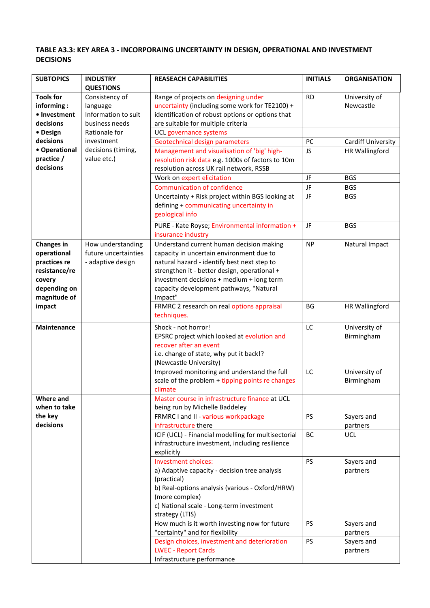## **TABLE A3.3: KEY AREA 3 - INCORPORAING UNCERTAINTY IN DESIGN, OPERATIONAL AND INVESTMENT DECISIONS**

| <b>QUESTIONS</b><br><b>Tools for</b><br>Range of projects on designing under<br><b>RD</b><br>University of<br>Consistency of<br>uncertainty (including some work for TE2100) +<br>Newcastle<br>informing:<br>language<br>Information to suit<br>identification of robust options or options that<br>• Investment<br>are suitable for multiple criteria<br>business needs<br>decisions<br>Rationale for<br>• Design<br>UCL governance systems<br>decisions<br>investment<br>Geotechnical design parameters<br>PC<br>Cardiff University<br>• Operational<br>decisions (timing,<br>Management and visualisation of 'big' high-<br><b>HR Wallingford</b><br>JS<br>practice /<br>value etc.)<br>resolution risk data e.g. 1000s of factors to 10m<br>decisions<br>resolution across UK rail network, RSSB<br>JF<br>Work on expert elicitation<br><b>BGS</b> |
|--------------------------------------------------------------------------------------------------------------------------------------------------------------------------------------------------------------------------------------------------------------------------------------------------------------------------------------------------------------------------------------------------------------------------------------------------------------------------------------------------------------------------------------------------------------------------------------------------------------------------------------------------------------------------------------------------------------------------------------------------------------------------------------------------------------------------------------------------------|
|                                                                                                                                                                                                                                                                                                                                                                                                                                                                                                                                                                                                                                                                                                                                                                                                                                                        |
|                                                                                                                                                                                                                                                                                                                                                                                                                                                                                                                                                                                                                                                                                                                                                                                                                                                        |
|                                                                                                                                                                                                                                                                                                                                                                                                                                                                                                                                                                                                                                                                                                                                                                                                                                                        |
|                                                                                                                                                                                                                                                                                                                                                                                                                                                                                                                                                                                                                                                                                                                                                                                                                                                        |
|                                                                                                                                                                                                                                                                                                                                                                                                                                                                                                                                                                                                                                                                                                                                                                                                                                                        |
|                                                                                                                                                                                                                                                                                                                                                                                                                                                                                                                                                                                                                                                                                                                                                                                                                                                        |
|                                                                                                                                                                                                                                                                                                                                                                                                                                                                                                                                                                                                                                                                                                                                                                                                                                                        |
|                                                                                                                                                                                                                                                                                                                                                                                                                                                                                                                                                                                                                                                                                                                                                                                                                                                        |
|                                                                                                                                                                                                                                                                                                                                                                                                                                                                                                                                                                                                                                                                                                                                                                                                                                                        |
|                                                                                                                                                                                                                                                                                                                                                                                                                                                                                                                                                                                                                                                                                                                                                                                                                                                        |
| <b>Communication of confidence</b><br>JF<br><b>BGS</b>                                                                                                                                                                                                                                                                                                                                                                                                                                                                                                                                                                                                                                                                                                                                                                                                 |
| Uncertainty + Risk project within BGS looking at<br>JF<br><b>BGS</b>                                                                                                                                                                                                                                                                                                                                                                                                                                                                                                                                                                                                                                                                                                                                                                                   |
| defining + communicating uncertainty in                                                                                                                                                                                                                                                                                                                                                                                                                                                                                                                                                                                                                                                                                                                                                                                                                |
| geological info                                                                                                                                                                                                                                                                                                                                                                                                                                                                                                                                                                                                                                                                                                                                                                                                                                        |
| PURE - Kate Royse; Environmental information +<br>JF<br><b>BGS</b>                                                                                                                                                                                                                                                                                                                                                                                                                                                                                                                                                                                                                                                                                                                                                                                     |
| insurance industry                                                                                                                                                                                                                                                                                                                                                                                                                                                                                                                                                                                                                                                                                                                                                                                                                                     |
| <b>Changes in</b><br>Understand current human decision making<br>How understanding<br><b>NP</b><br>Natural Impact                                                                                                                                                                                                                                                                                                                                                                                                                                                                                                                                                                                                                                                                                                                                      |
| operational<br>future uncertainties<br>capacity in uncertain environment due to                                                                                                                                                                                                                                                                                                                                                                                                                                                                                                                                                                                                                                                                                                                                                                        |
| natural hazard - identify best next step to<br>practices re<br>- adaptive design                                                                                                                                                                                                                                                                                                                                                                                                                                                                                                                                                                                                                                                                                                                                                                       |
| resistance/re<br>strengthen it - better design, operational +                                                                                                                                                                                                                                                                                                                                                                                                                                                                                                                                                                                                                                                                                                                                                                                          |
| investment decisions + medium + long term<br>covery                                                                                                                                                                                                                                                                                                                                                                                                                                                                                                                                                                                                                                                                                                                                                                                                    |
| capacity development pathways, "Natural<br>depending on                                                                                                                                                                                                                                                                                                                                                                                                                                                                                                                                                                                                                                                                                                                                                                                                |
| magnitude of<br>Impact"                                                                                                                                                                                                                                                                                                                                                                                                                                                                                                                                                                                                                                                                                                                                                                                                                                |
| impact<br>FRMRC 2 research on real options appraisal<br>HR Wallingford<br>BG                                                                                                                                                                                                                                                                                                                                                                                                                                                                                                                                                                                                                                                                                                                                                                           |
| techniques.                                                                                                                                                                                                                                                                                                                                                                                                                                                                                                                                                                                                                                                                                                                                                                                                                                            |
| LC<br>University of<br>Shock - not horror!<br>Maintenance                                                                                                                                                                                                                                                                                                                                                                                                                                                                                                                                                                                                                                                                                                                                                                                              |
| Birmingham<br>EPSRC project which looked at evolution and                                                                                                                                                                                                                                                                                                                                                                                                                                                                                                                                                                                                                                                                                                                                                                                              |
| recover after an event                                                                                                                                                                                                                                                                                                                                                                                                                                                                                                                                                                                                                                                                                                                                                                                                                                 |
| i.e. change of state, why put it back!?                                                                                                                                                                                                                                                                                                                                                                                                                                                                                                                                                                                                                                                                                                                                                                                                                |
| (Newcastle University)                                                                                                                                                                                                                                                                                                                                                                                                                                                                                                                                                                                                                                                                                                                                                                                                                                 |
| Improved monitoring and understand the full<br>LC<br>University of                                                                                                                                                                                                                                                                                                                                                                                                                                                                                                                                                                                                                                                                                                                                                                                     |
| scale of the problem + tipping points re changes<br>Birmingham<br>climate                                                                                                                                                                                                                                                                                                                                                                                                                                                                                                                                                                                                                                                                                                                                                                              |
| Where and<br>Master course in infrastructure finance at UCL                                                                                                                                                                                                                                                                                                                                                                                                                                                                                                                                                                                                                                                                                                                                                                                            |
| when to take<br>being run by Michelle Baddeley                                                                                                                                                                                                                                                                                                                                                                                                                                                                                                                                                                                                                                                                                                                                                                                                         |
| the key<br>FRMRC I and II - various workpackage<br><b>PS</b><br>Sayers and                                                                                                                                                                                                                                                                                                                                                                                                                                                                                                                                                                                                                                                                                                                                                                             |
| decisions<br>infrastructure there<br>partners                                                                                                                                                                                                                                                                                                                                                                                                                                                                                                                                                                                                                                                                                                                                                                                                          |
| ICIF (UCL) - Financial modelling for multisectorial<br>BC<br><b>UCL</b>                                                                                                                                                                                                                                                                                                                                                                                                                                                                                                                                                                                                                                                                                                                                                                                |
| infrastructure investment, including resilience                                                                                                                                                                                                                                                                                                                                                                                                                                                                                                                                                                                                                                                                                                                                                                                                        |
| explicitly                                                                                                                                                                                                                                                                                                                                                                                                                                                                                                                                                                                                                                                                                                                                                                                                                                             |
| Investment choices:<br>PS<br>Sayers and                                                                                                                                                                                                                                                                                                                                                                                                                                                                                                                                                                                                                                                                                                                                                                                                                |
| a) Adaptive capacity - decision tree analysis<br>partners                                                                                                                                                                                                                                                                                                                                                                                                                                                                                                                                                                                                                                                                                                                                                                                              |
| (practical)                                                                                                                                                                                                                                                                                                                                                                                                                                                                                                                                                                                                                                                                                                                                                                                                                                            |
| b) Real-options analysis (various - Oxford/HRW)                                                                                                                                                                                                                                                                                                                                                                                                                                                                                                                                                                                                                                                                                                                                                                                                        |
| (more complex)                                                                                                                                                                                                                                                                                                                                                                                                                                                                                                                                                                                                                                                                                                                                                                                                                                         |
| c) National scale - Long-term investment                                                                                                                                                                                                                                                                                                                                                                                                                                                                                                                                                                                                                                                                                                                                                                                                               |
| strategy (LTIS)                                                                                                                                                                                                                                                                                                                                                                                                                                                                                                                                                                                                                                                                                                                                                                                                                                        |
| How much is it worth investing now for future<br>PS<br>Sayers and<br>"certainty" and for flexibility                                                                                                                                                                                                                                                                                                                                                                                                                                                                                                                                                                                                                                                                                                                                                   |
| partners<br>Design choices, investment and deterioration<br>PS<br>Sayers and                                                                                                                                                                                                                                                                                                                                                                                                                                                                                                                                                                                                                                                                                                                                                                           |
| <b>LWEC - Report Cards</b><br>partners                                                                                                                                                                                                                                                                                                                                                                                                                                                                                                                                                                                                                                                                                                                                                                                                                 |
| Infrastructure performance                                                                                                                                                                                                                                                                                                                                                                                                                                                                                                                                                                                                                                                                                                                                                                                                                             |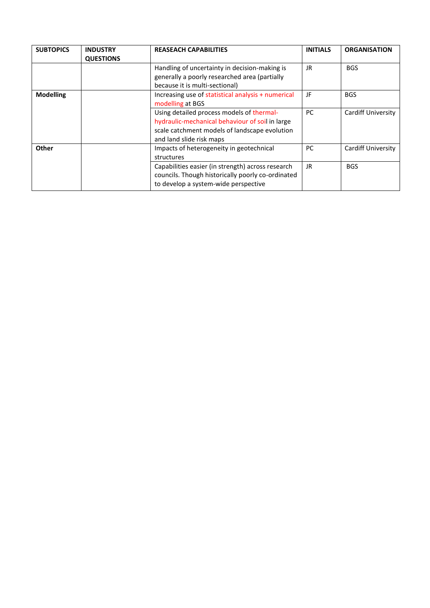| <b>SUBTOPICS</b> | <b>INDUSTRY</b><br><b>QUESTIONS</b> | <b>REASEACH CAPABILITIES</b>                                                                                                                                              | <b>INITIALS</b> | <b>ORGANISATION</b> |
|------------------|-------------------------------------|---------------------------------------------------------------------------------------------------------------------------------------------------------------------------|-----------------|---------------------|
|                  |                                     | Handling of uncertainty in decision-making is<br>generally a poorly researched area (partially<br>because it is multi-sectional)                                          | JR.             | <b>BGS</b>          |
| <b>Modelling</b> |                                     | Increasing use of statistical analysis + numerical<br>modelling at BGS                                                                                                    | JF              | <b>BGS</b>          |
|                  |                                     | Using detailed process models of thermal-<br>hydraulic-mechanical behaviour of soil in large<br>scale catchment models of landscape evolution<br>and land slide risk maps | PC.             | Cardiff University  |
| Other            |                                     | Impacts of heterogeneity in geotechnical<br>structures                                                                                                                    | PC.             | Cardiff University  |
|                  |                                     | Capabilities easier (in strength) across research<br>councils. Though historically poorly co-ordinated<br>to develop a system-wide perspective                            | JR.             | <b>BGS</b>          |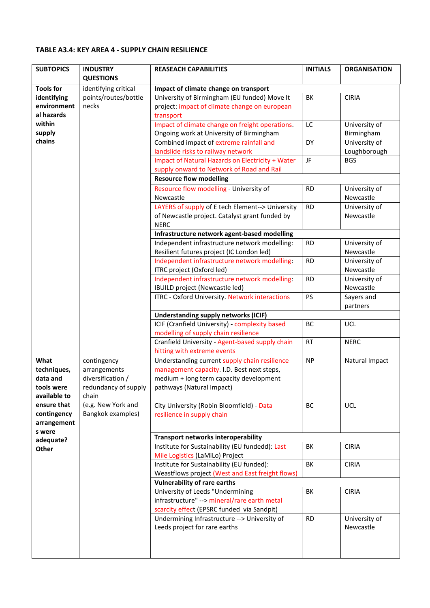### **TABLE A3.4: KEY AREA 4 - SUPPLY CHAIN RESILIENCE**

| <b>SUBTOPICS</b>    | <b>INDUSTRY</b><br><b>QUESTIONS</b> | <b>REASEACH CAPABILITIES</b>                                                    | <b>INITIALS</b> | <b>ORGANISATION</b>        |
|---------------------|-------------------------------------|---------------------------------------------------------------------------------|-----------------|----------------------------|
| <b>Tools for</b>    | identifying critical                | Impact of climate change on transport                                           |                 |                            |
| identifying         | points/routes/bottle                | University of Birmingham (EU funded) Move It                                    | BK              | <b>CIRIA</b>               |
| environment         | necks                               | project: impact of climate change on european                                   |                 |                            |
| al hazards          |                                     | transport                                                                       |                 |                            |
| within              |                                     | Impact of climate change on freight operations.                                 | LC              | University of              |
| supply              |                                     | Ongoing work at University of Birmingham                                        |                 | Birmingham                 |
| chains              |                                     | Combined impact of extreme rainfall and                                         | DY              | University of              |
|                     |                                     | landslide risks to railway network                                              |                 | Loughborough               |
|                     |                                     | Impact of Natural Hazards on Electricity + Water                                | JF              | <b>BGS</b>                 |
|                     |                                     | supply onward to Network of Road and Rail                                       |                 |                            |
|                     |                                     | <b>Resource flow modelling</b>                                                  |                 |                            |
|                     |                                     | Resource flow modelling - University of                                         | <b>RD</b>       | University of              |
|                     |                                     | Newcastle                                                                       |                 | Newcastle                  |
|                     |                                     | LAYERS of supply of E tech Element--> University                                | <b>RD</b>       | University of              |
|                     |                                     | of Newcastle project. Catalyst grant funded by                                  |                 | Newcastle                  |
|                     |                                     | <b>NERC</b>                                                                     |                 |                            |
|                     |                                     | Infrastructure network agent-based modelling                                    |                 |                            |
|                     |                                     | Independent infrastructure network modelling:                                   | <b>RD</b>       | University of              |
|                     |                                     | Resilient futures project (IC London led)                                       |                 | Newcastle                  |
|                     |                                     | Independent infrastructure network modelling:                                   | <b>RD</b>       | University of              |
|                     |                                     | ITRC project (Oxford led)                                                       | <b>RD</b>       | Newcastle<br>University of |
|                     |                                     | Independent infrastructure network modelling:<br>IBUILD project (Newcastle led) |                 | Newcastle                  |
|                     |                                     | ITRC - Oxford University. Network interactions                                  | <b>PS</b>       | Sayers and                 |
|                     |                                     |                                                                                 |                 | partners                   |
|                     |                                     | <b>Understanding supply networks (ICIF)</b>                                     |                 |                            |
|                     |                                     | ICIF (Cranfield University) - complexity based                                  | BC              | <b>UCL</b>                 |
|                     |                                     | modelling of supply chain resilience                                            |                 |                            |
|                     |                                     | Cranfield University - Agent-based supply chain                                 | <b>RT</b>       | <b>NERC</b>                |
|                     |                                     | hitting with extreme events                                                     |                 |                            |
| What                | contingency                         | Understanding current supply chain resilience                                   | <b>NP</b>       | Natural Impact             |
| techniques,         | arrangements                        | management capacity. I.D. Best next steps,                                      |                 |                            |
| data and            | diversification /                   | medium + long term capacity development                                         |                 |                            |
| tools were          | redundancy of supply                | pathways (Natural Impact)                                                       |                 |                            |
| available to        | chain                               |                                                                                 |                 |                            |
| ensure that         | (e.g. New York and                  | City University (Robin Bloomfield) - Data                                       | BC              | <b>UCL</b>                 |
| contingency         | Bangkok examples)                   | resilience in supply chain                                                      |                 |                            |
| arrangement         |                                     |                                                                                 |                 |                            |
| s were<br>adequate? |                                     | <b>Transport networks interoperability</b>                                      |                 |                            |
| Other               |                                     | Institute for Sustainability (EU fundedd): Last                                 | BK              | <b>CIRIA</b>               |
|                     |                                     | Mile Logistics (LaMiLo) Project                                                 |                 |                            |
|                     |                                     | Institute for Sustainability (EU funded):                                       | BK              | <b>CIRIA</b>               |
|                     |                                     | Weastflows project (West and East freight flows)                                |                 |                            |
|                     |                                     | <b>Vulnerability of rare earths</b>                                             |                 |                            |
|                     |                                     | University of Leeds "Undermining                                                | BK              | <b>CIRIA</b>               |
|                     |                                     | infrastructure" --> mineral/rare earth metal                                    |                 |                            |
|                     |                                     | scarcity effect (EPSRC funded via Sandpit)                                      |                 |                            |
|                     |                                     | Undermining Infrastructure --> University of                                    | <b>RD</b>       | University of              |
|                     |                                     | Leeds project for rare earths                                                   |                 | Newcastle                  |
|                     |                                     |                                                                                 |                 |                            |
|                     |                                     |                                                                                 |                 |                            |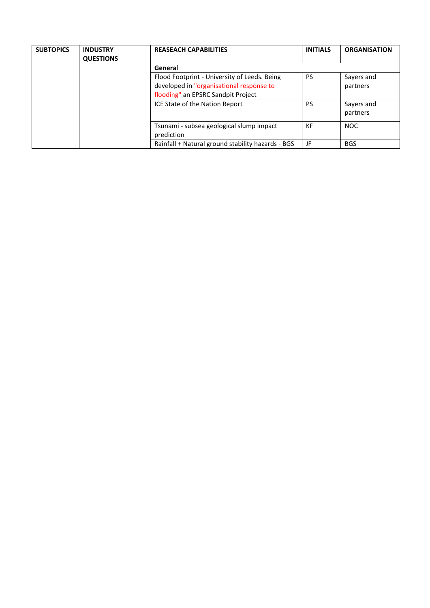| <b>SUBTOPICS</b> | <b>INDUSTRY</b><br><b>QUESTIONS</b> | <b>REASEACH CAPABILITIES</b>                                                                                                   | <b>INITIALS</b> | <b>ORGANISATION</b>    |
|------------------|-------------------------------------|--------------------------------------------------------------------------------------------------------------------------------|-----------------|------------------------|
|                  |                                     | General                                                                                                                        |                 |                        |
|                  |                                     | Flood Footprint - University of Leeds. Being<br>developed in "organisational response to<br>flooding" an EPSRC Sandpit Project | PS              | Sayers and<br>partners |
|                  |                                     | ICE State of the Nation Report                                                                                                 | PS              | Sayers and<br>partners |
|                  |                                     | Tsunami - subsea geological slump impact<br>prediction                                                                         | KF              | <b>NOC</b>             |
|                  |                                     | Rainfall + Natural ground stability hazards - BGS                                                                              | JF              | <b>BGS</b>             |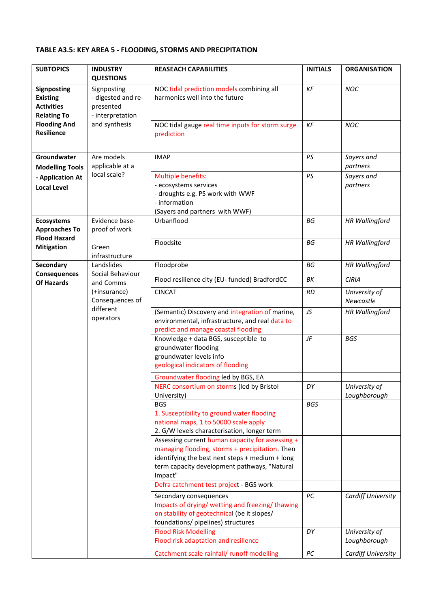### **TABLE A3.5: KEY AREA 5 - FLOODING, STORMS AND PRECIPITATION**

| <b>SUBTOPICS</b>                                                                 | <b>INDUSTRY</b><br><b>QUESTIONS</b>                                | <b>REASEACH CAPABILITIES</b>                                                                                                                                                                                      | <b>INITIALS</b> | <b>ORGANISATION</b>           |
|----------------------------------------------------------------------------------|--------------------------------------------------------------------|-------------------------------------------------------------------------------------------------------------------------------------------------------------------------------------------------------------------|-----------------|-------------------------------|
| <b>Signposting</b><br><b>Existing</b><br><b>Activities</b><br><b>Relating To</b> | Signposting<br>- digested and re-<br>presented<br>- interpretation | NOC tidal prediction models combining all<br>harmonics well into the future                                                                                                                                       | KF              | <b>NOC</b>                    |
| <b>Flooding And</b><br><b>Resilience</b>                                         | and synthesis                                                      | NOC tidal gauge real time inputs for storm surge<br>prediction                                                                                                                                                    | KF              | <b>NOC</b>                    |
| Groundwater<br><b>Modelling Tools</b>                                            | Are models<br>applicable at a                                      | <b>IMAP</b>                                                                                                                                                                                                       | PS              | Sayers and<br>partners        |
| - Application At<br><b>Local Level</b>                                           | local scale?                                                       | Multiple benefits:<br>- ecosystems services<br>- droughts e.g. PS work with WWF<br>- information<br>(Sayers and partners with WWF)                                                                                | PS              | Sayers and<br>partners        |
| <b>Ecosystems</b><br><b>Approaches To</b>                                        | Evidence base-<br>proof of work                                    | Urbanflood                                                                                                                                                                                                        | BG              | <b>HR Wallingford</b>         |
| <b>Flood Hazard</b><br><b>Mitigation</b>                                         | Green<br>infrastructure                                            | Floodsite                                                                                                                                                                                                         | BG              | <b>HR Wallingford</b>         |
| Secondary                                                                        | Landslides                                                         | Floodprobe                                                                                                                                                                                                        | BG              | <b>HR Wallingford</b>         |
| <b>Consequences</b><br><b>Of Hazards</b>                                         | Social Behaviour<br>and Comms                                      | Flood resilience city (EU- funded) BradfordCC                                                                                                                                                                     | ΒK              | <b>CIRIA</b>                  |
|                                                                                  | (+insurance)<br>Consequences of                                    | <b>CINCAT</b>                                                                                                                                                                                                     | <b>RD</b>       | University of<br>Newcastle    |
|                                                                                  | different<br>operators                                             | (Semantic) Discovery and integration of marine,<br>environmental, infrastructure, and real data to<br>predict and manage coastal flooding                                                                         | JS              | <b>HR Wallingford</b>         |
|                                                                                  |                                                                    | Knowledge + data BGS, susceptible to<br>groundwater flooding<br>groundwater levels info<br>geological indicators of flooding                                                                                      | JF              | <b>BGS</b>                    |
|                                                                                  |                                                                    | Groundwater flooding led by BGS, EA                                                                                                                                                                               |                 |                               |
|                                                                                  |                                                                    | NERC consortium on storms (led by Bristol<br>University)                                                                                                                                                          | DΥ              | University of<br>Loughborough |
|                                                                                  |                                                                    | <b>BGS</b><br>1. Susceptibility to ground water flooding<br>national maps, 1 to 50000 scale apply<br>2. G/W levels characterisation, longer term                                                                  | <b>BGS</b>      |                               |
|                                                                                  |                                                                    | Assessing current human capacity for assessing +<br>managing flooding, storms + precipitation. Then<br>identifying the best next steps + medium + long<br>term capacity development pathways, "Natural<br>Impact" |                 |                               |
|                                                                                  |                                                                    | Defra catchment test project - BGS work                                                                                                                                                                           |                 |                               |
|                                                                                  |                                                                    | Secondary consequences<br>Impacts of drying/ wetting and freezing/ thawing<br>on stability of geotechnical (be it slopes/<br>foundations/ pipelines) structures                                                   | PC              | Cardiff University            |
|                                                                                  |                                                                    | <b>Flood Risk Modelling</b><br>Flood risk adaptation and resilience                                                                                                                                               | DΥ              | University of<br>Loughborough |
|                                                                                  |                                                                    | Catchment scale rainfall/ runoff modelling                                                                                                                                                                        | $PC$            | Cardiff University            |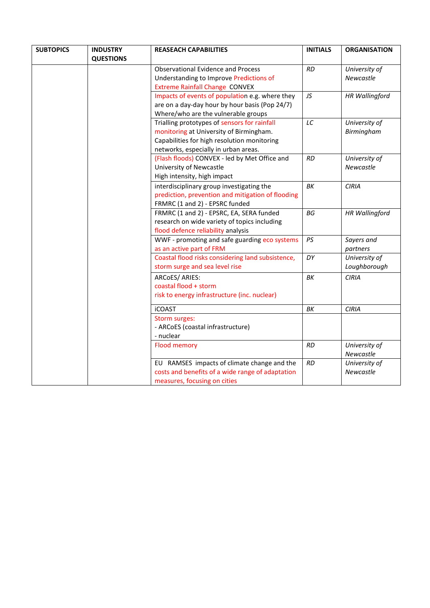| <b>SUBTOPICS</b> | <b>INDUSTRY</b>  | <b>REASEACH CAPABILITIES</b>                                                                                                    | <b>INITIALS</b> | <b>ORGANISATION</b>        |
|------------------|------------------|---------------------------------------------------------------------------------------------------------------------------------|-----------------|----------------------------|
|                  | <b>QUESTIONS</b> |                                                                                                                                 |                 |                            |
|                  |                  | <b>Observational Evidence and Process</b>                                                                                       | RD              | University of              |
|                  |                  | Understanding to Improve Predictions of                                                                                         |                 | Newcastle                  |
|                  |                  | <b>Extreme Rainfall Change CONVEX</b>                                                                                           |                 |                            |
|                  |                  | Impacts of events of population e.g. where they                                                                                 | JS              | <b>HR Wallingford</b>      |
|                  |                  | are on a day-day hour by hour basis (Pop 24/7)                                                                                  |                 |                            |
|                  |                  | Where/who are the vulnerable groups                                                                                             |                 |                            |
|                  |                  | Trialling prototypes of sensors for rainfall                                                                                    | LC              | University of              |
|                  |                  | monitoring at University of Birmingham.                                                                                         |                 | Birmingham                 |
|                  |                  | Capabilities for high resolution monitoring                                                                                     |                 |                            |
|                  |                  | networks, especially in urban areas.                                                                                            |                 |                            |
|                  |                  | (Flash floods) CONVEX - led by Met Office and                                                                                   | <b>RD</b>       | University of              |
|                  |                  | University of Newcastle                                                                                                         |                 | Newcastle                  |
|                  |                  | High intensity, high impact                                                                                                     |                 |                            |
|                  |                  | interdisciplinary group investigating the                                                                                       | ΒK              | <b>CIRIA</b>               |
|                  |                  | prediction, prevention and mitigation of flooding                                                                               |                 |                            |
|                  |                  | FRMRC (1 and 2) - EPSRC funded                                                                                                  |                 |                            |
|                  |                  | FRMRC (1 and 2) - EPSRC, EA, SERA funded                                                                                        | BG              | <b>HR Wallingford</b>      |
|                  |                  | research on wide variety of topics including                                                                                    |                 |                            |
|                  |                  | flood defence reliability analysis                                                                                              |                 |                            |
|                  |                  | WWF - promoting and safe guarding eco systems                                                                                   | PS              | Sayers and                 |
|                  |                  | as an active part of FRM                                                                                                        |                 | partners                   |
|                  |                  | Coastal flood risks considering land subsistence,                                                                               | DY              | University of              |
|                  |                  | storm surge and sea level rise                                                                                                  |                 | Loughborough               |
|                  |                  | ARCoES/ ARIES:                                                                                                                  | ΒK              | <b>CIRIA</b>               |
|                  |                  | coastal flood + storm                                                                                                           |                 |                            |
|                  |                  | risk to energy infrastructure (inc. nuclear)                                                                                    |                 |                            |
|                  |                  | <b>iCOAST</b>                                                                                                                   | ΒK              | <b>CIRIA</b>               |
|                  |                  | Storm surges:                                                                                                                   |                 |                            |
|                  |                  | - ARCoES (coastal infrastructure)                                                                                               |                 |                            |
|                  |                  | - nuclear                                                                                                                       |                 |                            |
|                  |                  | <b>Flood memory</b>                                                                                                             | <b>RD</b>       | University of<br>Newcastle |
|                  |                  |                                                                                                                                 | RD              |                            |
|                  |                  |                                                                                                                                 |                 |                            |
|                  |                  |                                                                                                                                 |                 |                            |
|                  |                  | EU RAMSES impacts of climate change and the<br>costs and benefits of a wide range of adaptation<br>measures, focusing on cities |                 | University of<br>Newcastle |